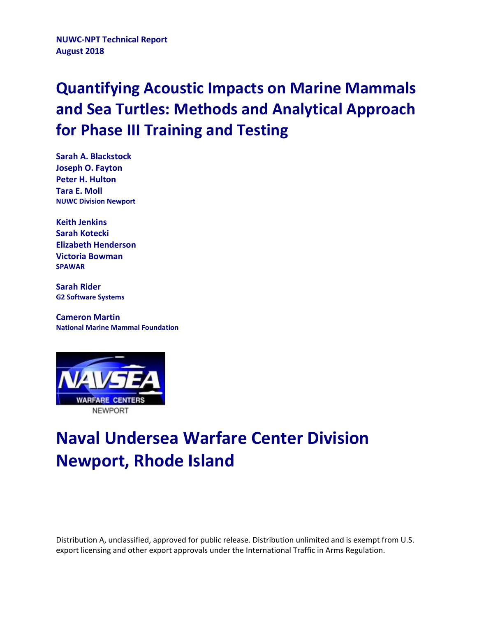# **Quantifying Acoustic Impacts on Marine Mammals and Sea Turtles: Methods and Analytical Approach for Phase III Training and Testing**

**Sarah A. Blackstock Joseph O. Fayton Peter H. Hulton Tara E. Moll NUWC Division Newport**

**Keith Jenkins Sarah Kotecki Elizabeth Henderson Victoria Bowman SPAWAR**

**Sarah Rider G2 Software Systems**

**Cameron Martin National Marine Mammal Foundation**



# **Naval Undersea Warfare Center Division Newport, Rhode Island**

Distribution A, unclassified, approved for public release. Distribution unlimited and is exempt from U.S. export licensing and other export approvals under the International Traffic in Arms Regulation.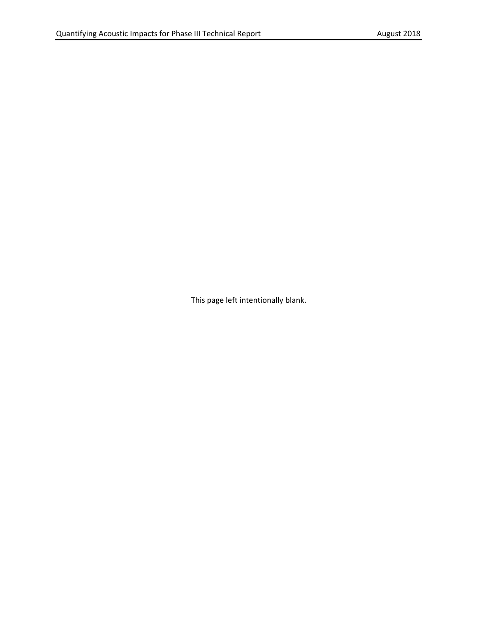This page left intentionally blank.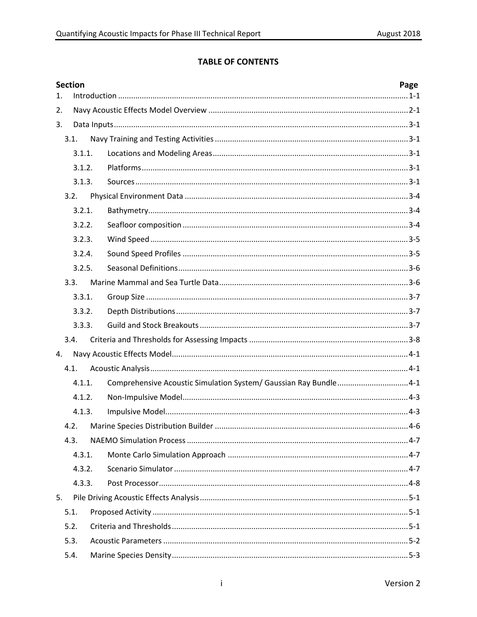### **TABLE OF CONTENTS**

| <b>Section</b> |        |  |                                                                  | Page |
|----------------|--------|--|------------------------------------------------------------------|------|
| $\mathbf{1}$ . |        |  |                                                                  |      |
| 2.             |        |  |                                                                  |      |
| 3.             |        |  |                                                                  |      |
| 3.1.           |        |  |                                                                  |      |
|                | 3.1.1. |  |                                                                  |      |
|                | 3.1.2. |  |                                                                  |      |
|                | 3.1.3. |  |                                                                  |      |
|                | 3.2.   |  |                                                                  |      |
|                | 3.2.1. |  |                                                                  |      |
|                | 3.2.2. |  |                                                                  |      |
|                | 3.2.3. |  |                                                                  |      |
|                | 3.2.4. |  |                                                                  |      |
|                | 3.2.5. |  |                                                                  |      |
|                | 3.3.   |  |                                                                  |      |
|                | 3.3.1. |  |                                                                  |      |
|                | 3.3.2. |  |                                                                  |      |
|                | 3.3.3. |  |                                                                  |      |
|                | 3.4.   |  |                                                                  |      |
| 4.             |        |  |                                                                  |      |
| 4.1.           |        |  |                                                                  |      |
|                | 4.1.1. |  | Comprehensive Acoustic Simulation System/ Gaussian Ray Bundle4-1 |      |
|                | 4.1.2. |  |                                                                  |      |
|                | 4.1.3. |  |                                                                  |      |
|                |        |  |                                                                  |      |
| 4.3.           |        |  |                                                                  |      |
|                | 4.3.1. |  |                                                                  |      |
|                | 4.3.2. |  |                                                                  |      |
|                | 4.3.3. |  |                                                                  |      |
| 5.             |        |  |                                                                  |      |
| 5.1.           |        |  |                                                                  |      |
| 5.2.           |        |  |                                                                  |      |
|                | 5.3.   |  |                                                                  |      |
| 5.4.           |        |  |                                                                  |      |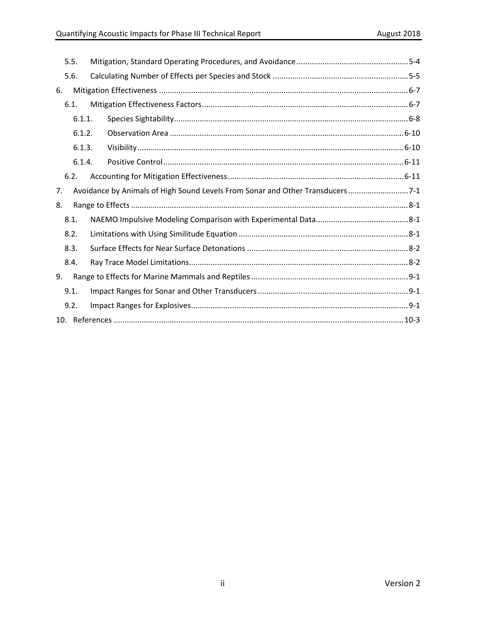|    | 5.5.   |                                                                               |  |
|----|--------|-------------------------------------------------------------------------------|--|
|    | 5.6.   |                                                                               |  |
| 6. |        |                                                                               |  |
|    | 6.1.   |                                                                               |  |
|    | 6.1.1. |                                                                               |  |
|    | 6.1.2. |                                                                               |  |
|    | 6.1.3. |                                                                               |  |
|    | 6.1.4. |                                                                               |  |
|    | 6.2.   |                                                                               |  |
| 7. |        | Avoidance by Animals of High Sound Levels From Sonar and Other Transducers7-1 |  |
| 8. |        |                                                                               |  |
|    | 8.1.   |                                                                               |  |
|    | 8.2.   |                                                                               |  |
|    | 8.3.   |                                                                               |  |
|    | 8.4.   |                                                                               |  |
| 9. |        |                                                                               |  |
|    | 9.1.   |                                                                               |  |
|    | 9.2.   |                                                                               |  |
|    |        |                                                                               |  |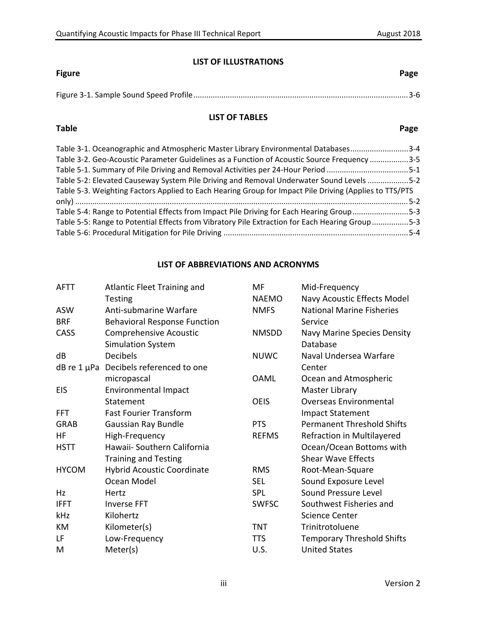#### **LIST OF ILLUSTRATIONS**

## **Figure Page** [Figure 3-1. Sample Sound Speed Profile....................................................................................................3-6](#page-15-2)

#### **LIST OF TABLES**

#### **Table Page**

| Table 3-1. Oceanographic and Atmospheric Master Library Environmental Databases3-4                     |  |
|--------------------------------------------------------------------------------------------------------|--|
| Table 3-2. Geo-Acoustic Parameter Guidelines as a Function of Acoustic Source Frequency 3-5            |  |
| Table 5-1. Summary of Pile Driving and Removal Activities per 24-Hour Period 5-1                       |  |
| Table 5-2: Elevated Causeway System Pile Driving and Removal Underwater Sound Levels 5-2               |  |
| Table 5-3. Weighting Factors Applied to Each Hearing Group for Impact Pile Driving (Applies to TTS/PTS |  |
|                                                                                                        |  |
| Table 5-4: Range to Potential Effects from Impact Pile Driving for Each Hearing Group 5-3              |  |
| Table 5-5: Range to Potential Effects from Vibratory Pile Extraction for Each Hearing Group5-3         |  |
|                                                                                                        |  |
|                                                                                                        |  |

#### **LIST OF ABBREVIATIONS AND ACRONYMS**

| <b>AFTT</b>        | Atlantic Fleet Training and         | MF           | Mid-Frequency                     |
|--------------------|-------------------------------------|--------------|-----------------------------------|
|                    | <b>Testing</b>                      | <b>NAEMO</b> | Navy Acoustic Effects Model       |
| <b>ASW</b>         | Anti-submarine Warfare              | <b>NMFS</b>  | <b>National Marine Fisheries</b>  |
| <b>BRF</b>         | <b>Behavioral Response Function</b> |              | Service                           |
| CASS               | <b>Comprehensive Acoustic</b>       | <b>NMSDD</b> | Navy Marine Species Density       |
|                    | <b>Simulation System</b>            |              | Database                          |
| dB                 | <b>Decibels</b>                     | <b>NUWC</b>  | Naval Undersea Warfare            |
| $dB$ re 1 $\mu$ Pa | Decibels referenced to one          |              | Center                            |
|                    | micropascal                         | <b>OAML</b>  | Ocean and Atmospheric             |
| <b>EIS</b>         | <b>Environmental Impact</b>         |              | Master Library                    |
|                    | Statement                           | <b>OEIS</b>  | Overseas Environmental            |
| <b>FFT</b>         | <b>Fast Fourier Transform</b>       |              | <b>Impact Statement</b>           |
| <b>GRAB</b>        | Gaussian Ray Bundle                 | <b>PTS</b>   | <b>Permanent Threshold Shifts</b> |
| <b>HF</b>          | High-Frequency                      | <b>REFMS</b> | Refraction in Multilayered        |
| <b>HSTT</b>        | Hawaii- Southern California         |              | Ocean/Ocean Bottoms with          |
|                    | <b>Training and Testing</b>         |              | <b>Shear Wave Effects</b>         |
| <b>HYCOM</b>       | Hybrid Acoustic Coordinate          | <b>RMS</b>   | Root-Mean-Square                  |
|                    | Ocean Model                         | <b>SEL</b>   | Sound Exposure Level              |
| Hz                 | Hertz                               | <b>SPL</b>   | Sound Pressure Level              |
| <b>IFFT</b>        | <b>Inverse FFT</b>                  | <b>SWFSC</b> | Southwest Fisheries and           |
| kHz                | Kilohertz                           |              | <b>Science Center</b>             |
| KM                 | Kilometer(s)                        | <b>TNT</b>   | Trinitrotoluene                   |
| LF                 | Low-Frequency                       | <b>TTS</b>   | <b>Temporary Threshold Shifts</b> |
| M                  | Meter(s)                            | U.S.         | <b>United States</b>              |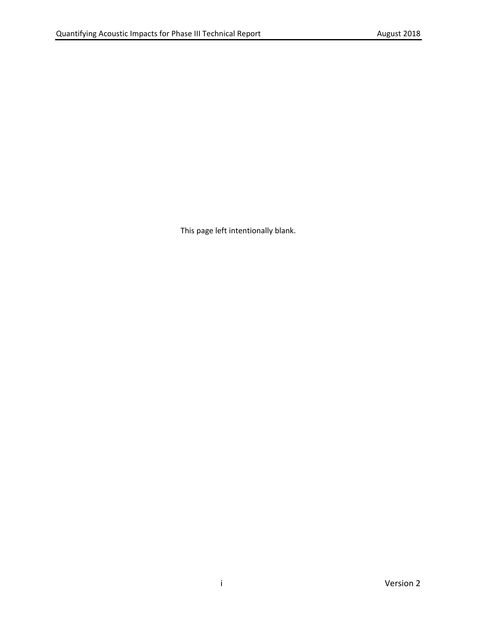This page left intentionally blank.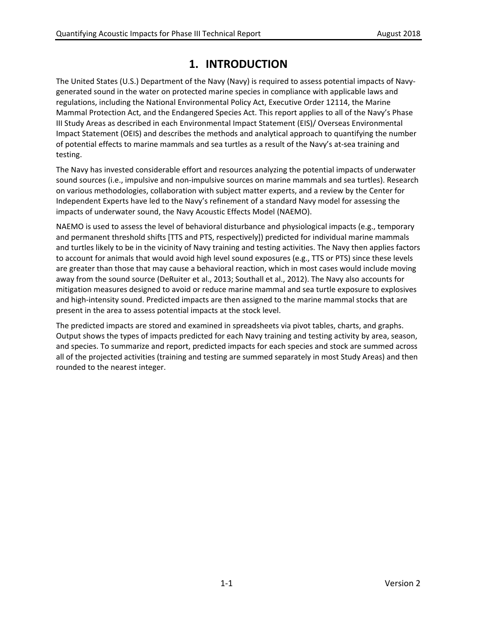### **1. INTRODUCTION**

<span id="page-6-0"></span>The United States (U.S.) Department of the Navy (Navy) is required to assess potential impacts of Navygenerated sound in the water on protected marine species in compliance with applicable laws and regulations, including the National Environmental Policy Act, Executive Order 12114, the Marine Mammal Protection Act, and the Endangered Species Act. This report applies to all of the Navy's Phase III Study Areas as described in each Environmental Impact Statement (EIS)/ Overseas Environmental Impact Statement (OEIS) and describes the methods and analytical approach to quantifying the number of potential effects to marine mammals and sea turtles as a result of the Navy's at-sea training and testing.

The Navy has invested considerable effort and resources analyzing the potential impacts of underwater sound sources (i.e., impulsive and non-impulsive sources on marine mammals and sea turtles). Research on various methodologies, collaboration with subject matter experts, and a review by the Center for Independent Experts have led to the Navy's refinement of a standard Navy model for assessing the impacts of underwater sound, the Navy Acoustic Effects Model (NAEMO).

NAEMO is used to assess the level of behavioral disturbance and physiological impacts (e.g., temporary and permanent threshold shifts [TTS and PTS, respectively]) predicted for individual marine mammals and turtles likely to be in the vicinity of Navy training and testing activities. The Navy then applies factors to account for animals that would avoid high level sound exposures (e.g., TTS or PTS) since these levels are greater than those that may cause a behavioral reaction, which in most cases would include moving away from the sound source (DeRuiter et al., 2013; Southall et al., 2012). The Navy also accounts for mitigation measures designed to avoid or reduce marine mammal and sea turtle exposure to explosives and high-intensity sound. Predicted impacts are then assigned to the marine mammal stocks that are present in the area to assess potential impacts at the stock level.

The predicted impacts are stored and examined in spreadsheets via pivot tables, charts, and graphs. Output shows the types of impacts predicted for each Navy training and testing activity by area, season, and species. To summarize and report, predicted impacts for each species and stock are summed across all of the projected activities (training and testing are summed separately in most Study Areas) and then rounded to the nearest integer.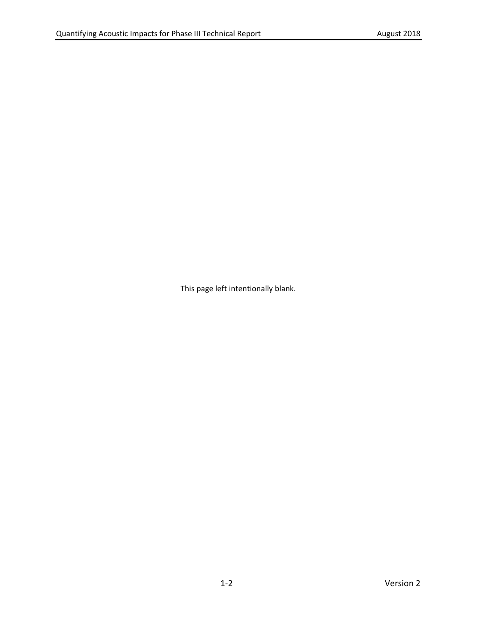This page left intentionally blank.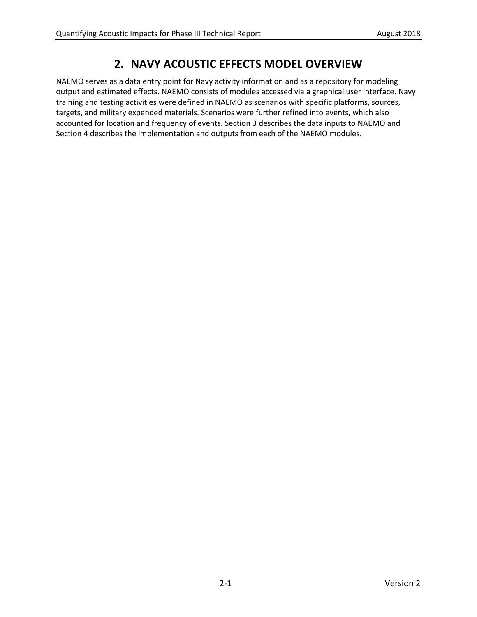### **2. NAVY ACOUSTIC EFFECTS MODEL OVERVIEW**

<span id="page-8-0"></span>NAEMO serves as a data entry point for Navy activity information and as a repository for modeling output and estimated effects. NAEMO consists of modules accessed via a graphical user interface. Navy training and testing activities were defined in NAEMO as scenarios with specific platforms, sources, targets, and military expended materials. Scenarios were further refined into events, which also accounted for location and frequency of events. Section 3 describes the data inputs to NAEMO and Section 4 describes the implementation and outputs from each of the NAEMO modules.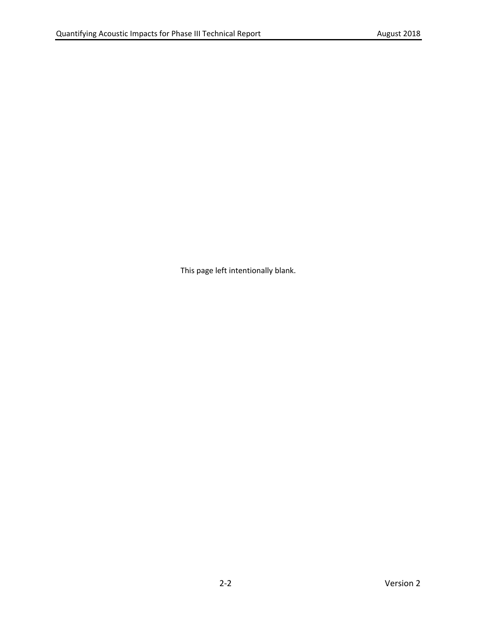This page left intentionally blank.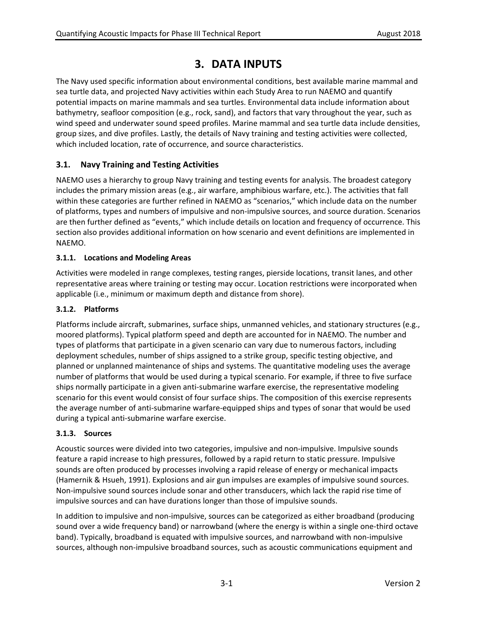### **3. DATA INPUTS**

<span id="page-10-0"></span>The Navy used specific information about environmental conditions, best available marine mammal and sea turtle data, and projected Navy activities within each Study Area to run NAEMO and quantify potential impacts on marine mammals and sea turtles. Environmental data include information about bathymetry, seafloor composition (e.g., rock, sand), and factors that vary throughout the year, such as wind speed and underwater sound speed profiles. Marine mammal and sea turtle data include densities, group sizes, and dive profiles. Lastly, the details of Navy training and testing activities were collected, which included location, rate of occurrence, and source characteristics.

#### <span id="page-10-1"></span>**3.1. Navy Training and Testing Activities**

NAEMO uses a hierarchy to group Navy training and testing events for analysis. The broadest category includes the primary mission areas (e.g., air warfare, amphibious warfare, etc.). The activities that fall within these categories are further refined in NAEMO as "scenarios," which include data on the number of platforms, types and numbers of impulsive and non-impulsive sources, and source duration. Scenarios are then further defined as "events," which include details on location and frequency of occurrence. This section also provides additional information on how scenario and event definitions are implemented in NAEMO.

#### <span id="page-10-2"></span>**3.1.1. Locations and Modeling Areas**

Activities were modeled in range complexes, testing ranges, pierside locations, transit lanes, and other representative areas where training or testing may occur. Location restrictions were incorporated when applicable (i.e., minimum or maximum depth and distance from shore).

#### <span id="page-10-3"></span>**3.1.2. Platforms**

Platforms include aircraft, submarines, surface ships, unmanned vehicles, and stationary structures (e.g., moored platforms). Typical platform speed and depth are accounted for in NAEMO. The number and types of platforms that participate in a given scenario can vary due to numerous factors, including deployment schedules, number of ships assigned to a strike group, specific testing objective, and planned or unplanned maintenance of ships and systems. The quantitative modeling uses the average number of platforms that would be used during a typical scenario. For example, if three to five surface ships normally participate in a given anti-submarine warfare exercise, the representative modeling scenario for this event would consist of four surface ships. The composition of this exercise represents the average number of anti-submarine warfare-equipped ships and types of sonar that would be used during a typical anti-submarine warfare exercise.

#### <span id="page-10-4"></span>**3.1.3. Sources**

Acoustic sources were divided into two categories, impulsive and non-impulsive. Impulsive sounds feature a rapid increase to high pressures, followed by a rapid return to static pressure. Impulsive sounds are often produced by processes involving a rapid release of energy or mechanical impacts (Hamernik & Hsueh, 1991). Explosions and air gun impulses are examples of impulsive sound sources. Non-impulsive sound sources include sonar and other transducers, which lack the rapid rise time of impulsive sources and can have durations longer than those of impulsive sounds.

In addition to impulsive and non-impulsive, sources can be categorized as either broadband (producing sound over a wide frequency band) or narrowband (where the energy is within a single one-third octave band). Typically, broadband is equated with impulsive sources, and narrowband with non-impulsive sources, although non-impulsive broadband sources, such as acoustic communications equipment and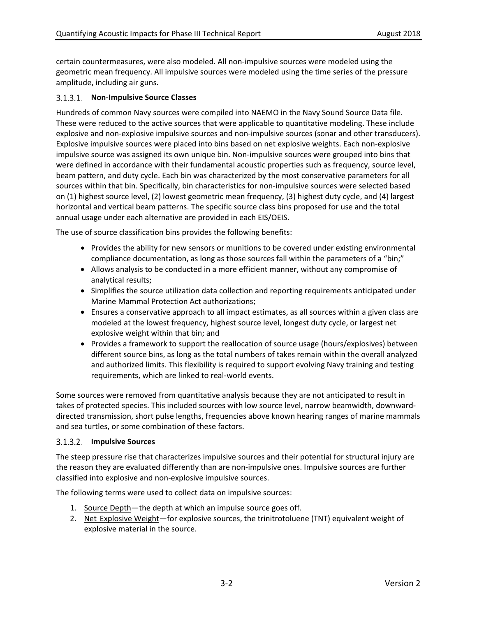certain countermeasures, were also modeled. All non-impulsive sources were modeled using the geometric mean frequency. All impulsive sources were modeled using the time series of the pressure amplitude, including air guns.

#### **Non-Impulsive Source Classes**

Hundreds of common Navy sources were compiled into NAEMO in the Navy Sound Source Data file. These were reduced to the active sources that were applicable to quantitative modeling. These include explosive and non-explosive impulsive sources and non-impulsive sources (sonar and other transducers). Explosive impulsive sources were placed into bins based on net explosive weights. Each non-explosive impulsive source was assigned its own unique bin. Non-impulsive sources were grouped into bins that were defined in accordance with their fundamental acoustic properties such as frequency, source level, beam pattern, and duty cycle. Each bin was characterized by the most conservative parameters for all sources within that bin. Specifically, bin characteristics for non-impulsive sources were selected based on (1) highest source level, (2) lowest geometric mean frequency, (3) highest duty cycle, and (4) largest horizontal and vertical beam patterns. The specific source class bins proposed for use and the total annual usage under each alternative are provided in each EIS/OEIS.

The use of source classification bins provides the following benefits:

- Provides the ability for new sensors or munitions to be covered under existing environmental compliance documentation, as long as those sources fall within the parameters of a "bin;"
- Allows analysis to be conducted in a more efficient manner, without any compromise of analytical results;
- Simplifies the source utilization data collection and reporting requirements anticipated under Marine Mammal Protection Act authorizations;
- Ensures a conservative approach to all impact estimates, as all sources within a given class are modeled at the lowest frequency, highest source level, longest duty cycle, or largest net explosive weight within that bin; and
- Provides a framework to support the reallocation of source usage (hours/explosives) between different source bins, as long as the total numbers of takes remain within the overall analyzed and authorized limits. This flexibility is required to support evolving Navy training and testing requirements, which are linked to real-world events.

Some sources were removed from quantitative analysis because they are not anticipated to result in takes of protected species. This included sources with low source level, narrow beamwidth, downwarddirected transmission, short pulse lengths, frequencies above known hearing ranges of marine mammals and sea turtles, or some combination of these factors.

#### **Impulsive Sources**

The steep pressure rise that characterizes impulsive sources and their potential for structural injury are the reason they are evaluated differently than are non-impulsive ones. Impulsive sources are further classified into explosive and non-explosive impulsive sources.

The following terms were used to collect data on impulsive sources:

- 1. Source Depth—the depth at which an impulse source goes off.
- 2. Net Explosive Weight—for explosive sources, the trinitrotoluene (TNT) equivalent weight of explosive material in the source.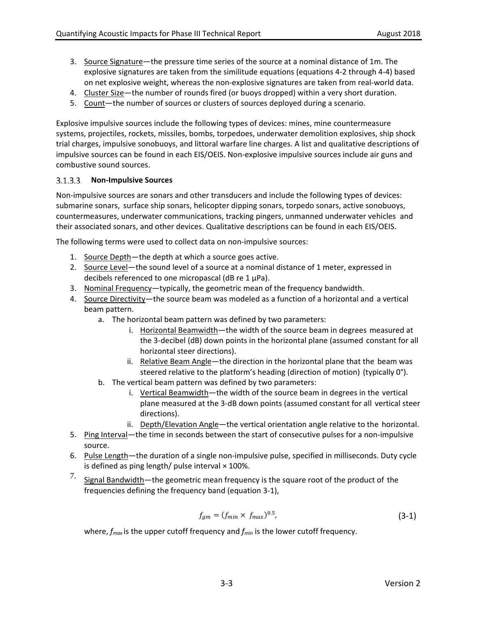- 3. Source Signature—the pressure time series of the source at a nominal distance of 1m. The explosive signatures are taken from the similitude equations (equations 4-2 through 4-4) based on net explosive weight, whereas the non-explosive signatures are taken from real-world data.
- 4. Cluster Size—the number of rounds fired (or buoys dropped) within a very short duration.
- 5. Count—the number of sources or clusters of sources deployed during a scenario.

Explosive impulsive sources include the following types of devices: mines, mine countermeasure systems, projectiles, rockets, missiles, bombs, torpedoes, underwater demolition explosives, ship shock trial charges, impulsive sonobuoys, and littoral warfare line charges. A list and qualitative descriptions of impulsive sources can be found in each EIS/OEIS. Non-explosive impulsive sources include air guns and combustive sound sources.

#### **Non-Impulsive Sources**

Non-impulsive sources are sonars and other transducers and include the following types of devices: submarine sonars, surface ship sonars, helicopter dipping sonars, torpedo sonars, active sonobuoys, countermeasures, underwater communications, tracking pingers, unmanned underwater vehicles and their associated sonars, and other devices. Qualitative descriptions can be found in each EIS/OEIS.

The following terms were used to collect data on non-impulsive sources:

- 1. Source Depth—the depth at which a source goes active.
- 2. Source Level—the sound level of a source at a nominal distance of 1 meter, expressed in decibels referenced to one micropascal (dB re  $1 \mu Pa$ ).
- 3. Nominal Frequency—typically, the geometric mean of the frequency bandwidth.
- 4. Source Directivity—the source beam was modeled as a function of a horizontal and a vertical beam pattern.
	- a. The horizontal beam pattern was defined by two parameters:
		- i. Horizontal Beamwidth—the width of the source beam in degrees measured at the 3-decibel (dB) down points in the horizontal plane (assumed constant for all horizontal steer directions).
		- ii. Relative Beam Angle—the direction in the horizontal plane that the beam was steered relative to the platform's heading (direction of motion) (typically 0°).
	- b. The vertical beam pattern was defined by two parameters:
		- i. Vertical Beamwidth—the width of the source beam in degrees in the vertical plane measured at the 3-dB down points (assumed constant for all vertical steer directions).
		- ii. Depth/Elevation Angle—the vertical orientation angle relative to the horizontal.
- 5. Ping Interval—the time in seconds between the start of consecutive pulses for a non-impulsive source.
- 6. Pulse Length—the duration of a single non-impulsive pulse, specified in milliseconds. Duty cycle is defined as ping length/ pulse interval  $\times$  100%.
- 7. Signal Bandwidth—the geometric mean frequency is the square root of the product of the frequencies defining the frequency band (equation 3-1),

$$
f_{gm} = (f_{min} \times f_{max})^{0.5},\tag{3-1}
$$

where, *fmax* is the upper cutoff frequency and *fmin* is the lower cutoff frequency.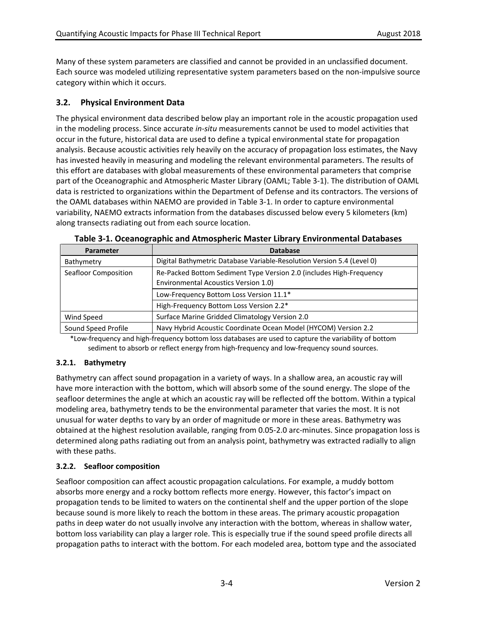Many of these system parameters are classified and cannot be provided in an unclassified document. Each source was modeled utilizing representative system parameters based on the non-impulsive source category within which it occurs.

#### <span id="page-13-0"></span>**3.2. Physical Environment Data**

The physical environment data described below play an important role in the acoustic propagation used in the modeling process. Since accurate *in-situ* measurements cannot be used to model activities that occur in the future, historical data are used to define a typical environmental state for propagation analysis. Because acoustic activities rely heavily on the accuracy of propagation loss estimates, the Navy has invested heavily in measuring and modeling the relevant environmental parameters. The results of this effort are databases with global measurements of these environmental parameters that comprise part of the Oceanographic and Atmospheric Master Library (OAML; Table 3-1). The distribution of OAML data is restricted to organizations within the Department of Defense and its contractors. The versions of the OAML databases within NAEMO are provided in Table 3-1. In order to capture environmental variability, NAEMO extracts information from the databases discussed below every 5 kilometers (km) along transects radiating out from each source location.

<span id="page-13-3"></span>

| Parameter            | <b>Database</b>                                                                                             |
|----------------------|-------------------------------------------------------------------------------------------------------------|
| Bathymetry           | Digital Bathymetric Database Variable-Resolution Version 5.4 (Level 0)                                      |
| Seafloor Composition | Re-Packed Bottom Sediment Type Version 2.0 (includes High-Frequency<br>Environmental Acoustics Version 1.0) |
|                      | Low-Frequency Bottom Loss Version 11.1*                                                                     |
|                      | High-Frequency Bottom Loss Version 2.2*                                                                     |
| Wind Speed           | Surface Marine Gridded Climatology Version 2.0                                                              |
| Sound Speed Profile  | Navy Hybrid Acoustic Coordinate Ocean Model (HYCOM) Version 2.2                                             |

**Table 3-1. Oceanographic and Atmospheric Master Library Environmental Databases**

\*Low-frequency and high-frequency bottom loss databases are used to capture the variability of bottom sediment to absorb or reflect energy from high-frequency and low-frequency sound sources.

#### <span id="page-13-1"></span>**3.2.1. Bathymetry**

Bathymetry can affect sound propagation in a variety of ways. In a shallow area, an acoustic ray will have more interaction with the bottom, which will absorb some of the sound energy. The slope of the seafloor determines the angle at which an acoustic ray will be reflected off the bottom. Within a typical modeling area, bathymetry tends to be the environmental parameter that varies the most. It is not unusual for water depths to vary by an order of magnitude or more in these areas. Bathymetry was obtained at the highest resolution available, ranging from 0.05-2.0 arc-minutes. Since propagation loss is determined along paths radiating out from an analysis point, bathymetry was extracted radially to align with these paths.

#### <span id="page-13-2"></span>**3.2.2. Seafloor composition**

Seafloor composition can affect acoustic propagation calculations. For example, a muddy bottom absorbs more energy and a rocky bottom reflects more energy. However, this factor's impact on propagation tends to be limited to waters on the continental shelf and the upper portion of the slope because sound is more likely to reach the bottom in these areas. The primary acoustic propagation paths in deep water do not usually involve any interaction with the bottom, whereas in shallow water, bottom loss variability can play a larger role. This is especially true if the sound speed profile directs all propagation paths to interact with the bottom. For each modeled area, bottom type and the associated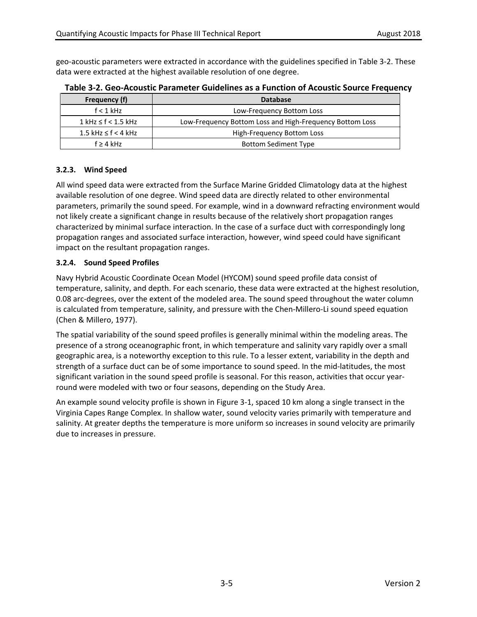geo-acoustic parameters were extracted in accordance with the guidelines specified in Table 3-2. These data were extracted at the highest available resolution of one degree.

| Frequency (f)                | <b>Database</b>                                          |
|------------------------------|----------------------------------------------------------|
| $f < 1$ kHz                  | Low-Frequency Bottom Loss                                |
| $1$ kHz $\leq$ f $<$ 1.5 kHz | Low-Frequency Bottom Loss and High-Frequency Bottom Loss |
| 1.5 kHz $\leq$ f $<$ 4 kHz   | High-Frequency Bottom Loss                               |
| $f > 4$ kHz                  | <b>Bottom Sediment Type</b>                              |

<span id="page-14-2"></span>**Table 3-2. Geo-Acoustic Parameter Guidelines as a Function of Acoustic Source Frequency**

#### <span id="page-14-0"></span>**3.2.3. Wind Speed**

All wind speed data were extracted from the Surface Marine Gridded Climatology data at the highest available resolution of one degree. Wind speed data are directly related to other environmental parameters, primarily the sound speed. For example, wind in a downward refracting environment would not likely create a significant change in results because of the relatively short propagation ranges characterized by minimal surface interaction. In the case of a surface duct with correspondingly long propagation ranges and associated surface interaction, however, wind speed could have significant impact on the resultant propagation ranges.

#### <span id="page-14-1"></span>**3.2.4. Sound Speed Profiles**

Navy Hybrid Acoustic Coordinate Ocean Model (HYCOM) sound speed profile data consist of temperature, salinity, and depth. For each scenario, these data were extracted at the highest resolution, 0.08 arc-degrees, over the extent of the modeled area. The sound speed throughout the water column is calculated from temperature, salinity, and pressure with the Chen-Millero-Li sound speed equation (Chen & Millero, 1977).

The spatial variability of the sound speed profiles is generally minimal within the modeling areas. The presence of a strong oceanographic front, in which temperature and salinity vary rapidly over a small geographic area, is a noteworthy exception to this rule. To a lesser extent, variability in the depth and strength of a surface duct can be of some importance to sound speed. In the mid-latitudes, the most significant variation in the sound speed profile is seasonal. For this reason, activities that occur yearround were modeled with two or four seasons, depending on the Study Area.

An example sound velocity profile is shown in [Figure 3-1,](#page-15-2) spaced 10 km along a single transect in the Virginia Capes Range Complex. In shallow water, sound velocity varies primarily with temperature and salinity. At greater depths the temperature is more uniform so increases in sound velocity are primarily due to increases in pressure.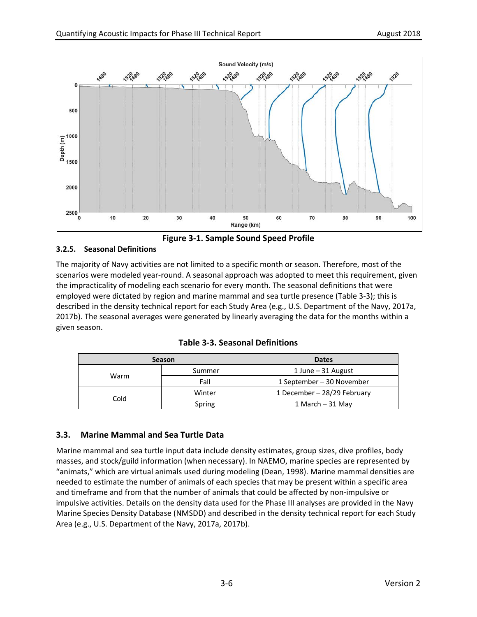

**Figure 3-1. Sample Sound Speed Profile**

#### <span id="page-15-2"></span><span id="page-15-0"></span>**3.2.5. Seasonal Definitions**

The majority of Navy activities are not limited to a specific month or season. Therefore, most of the scenarios were modeled year-round. A seasonal approach was adopted to meet this requirement, given the impracticality of modeling each scenario for every month. The seasonal definitions that were employed were dictated by region and marine mammal and sea turtle presence (Table 3-3); this is described in the density technical report for each Study Area (e.g., U.S. Department of the Navy, 2017a, 2017b). The seasonal averages were generated by linearly averaging the data for the months within a given season.

|  | <b>Table 3-3. Seasonal Definitions</b> |  |
|--|----------------------------------------|--|
|  |                                        |  |

|      | <b>Season</b> | <b>Dates</b>                |
|------|---------------|-----------------------------|
|      | Summer        | 1 June – 31 August          |
| Warm | Fall          | 1 September – 30 November   |
|      | Winter        | 1 December - 28/29 February |
| Cold | Spring        | 1 March – 31 May            |

#### <span id="page-15-1"></span>**3.3. Marine Mammal and Sea Turtle Data**

Marine mammal and sea turtle input data include density estimates, group sizes, dive profiles, body masses, and stock/guild information (when necessary). In NAEMO, marine species are represented by "animats," which are virtual animals used during modeling (Dean, 1998). Marine mammal densities are needed to estimate the number of animals of each species that may be present within a specific area and timeframe and from that the number of animals that could be affected by non-impulsive or impulsive activities. Details on the density data used for the Phase III analyses are provided in the Navy Marine Species Density Database (NMSDD) and described in the density technical report for each Study Area (e.g., U.S. Department of the Navy, 2017a, 2017b).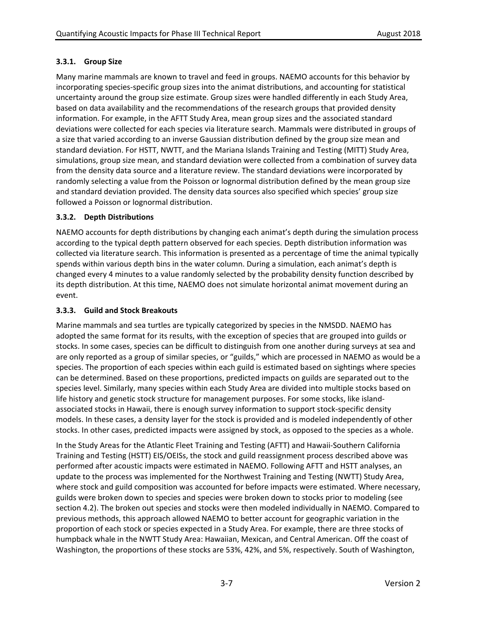#### <span id="page-16-0"></span>**3.3.1. Group Size**

Many marine mammals are known to travel and feed in groups. NAEMO accounts for this behavior by incorporating species-specific group sizes into the animat distributions, and accounting for statistical uncertainty around the group size estimate. Group sizes were handled differently in each Study Area, based on data availability and the recommendations of the research groups that provided density information. For example, in the AFTT Study Area, mean group sizes and the associated standard deviations were collected for each species via literature search. Mammals were distributed in groups of a size that varied according to an inverse Gaussian distribution defined by the group size mean and standard deviation. For HSTT, NWTT, and the Mariana Islands Training and Testing (MITT) Study Area, simulations, group size mean, and standard deviation were collected from a combination of survey data from the density data source and a literature review. The standard deviations were incorporated by randomly selecting a value from the Poisson or lognormal distribution defined by the mean group size and standard deviation provided. The density data sources also specified which species' group size followed a Poisson or lognormal distribution.

#### <span id="page-16-1"></span>**3.3.2. Depth Distributions**

NAEMO accounts for depth distributions by changing each animat's depth during the simulation process according to the typical depth pattern observed for each species. Depth distribution information was collected via literature search. This information is presented as a percentage of time the animal typically spends within various depth bins in the water column. During a simulation, each animat's depth is changed every 4 minutes to a value randomly selected by the probability density function described by its depth distribution. At this time, NAEMO does not simulate horizontal animat movement during an event.

#### <span id="page-16-2"></span>**3.3.3. Guild and Stock Breakouts**

Marine mammals and sea turtles are typically categorized by species in the NMSDD. NAEMO has adopted the same format for its results, with the exception of species that are grouped into guilds or stocks. In some cases, species can be difficult to distinguish from one another during surveys at sea and are only reported as a group of similar species, or "guilds," which are processed in NAEMO as would be a species. The proportion of each species within each guild is estimated based on sightings where species can be determined. Based on these proportions, predicted impacts on guilds are separated out to the species level. Similarly, many species within each Study Area are divided into multiple stocks based on life history and genetic stock structure for management purposes. For some stocks, like islandassociated stocks in Hawaii, there is enough survey information to support stock-specific density models. In these cases, a density layer for the stock is provided and is modeled independently of other stocks. In other cases, predicted impacts were assigned by stock, as opposed to the species as a whole.

In the Study Areas for the Atlantic Fleet Training and Testing (AFTT) and Hawaii-Southern California Training and Testing (HSTT) EIS/OEISs, the stock and guild reassignment process described above was performed after acoustic impacts were estimated in NAEMO. Following AFTT and HSTT analyses, an update to the process was implemented for the Northwest Training and Testing (NWTT) Study Area, where stock and guild composition was accounted for before impacts were estimated. Where necessary, guilds were broken down to species and species were broken down to stocks prior to modeling (see section 4.2). The broken out species and stocks were then modeled individually in NAEMO. Compared to previous methods, this approach allowed NAEMO to better account for geographic variation in the proportion of each stock or species expected in a Study Area. For example, there are three stocks of humpback whale in the NWTT Study Area: Hawaiian, Mexican, and Central American. Off the coast of Washington, the proportions of these stocks are 53%, 42%, and 5%, respectively. South of Washington,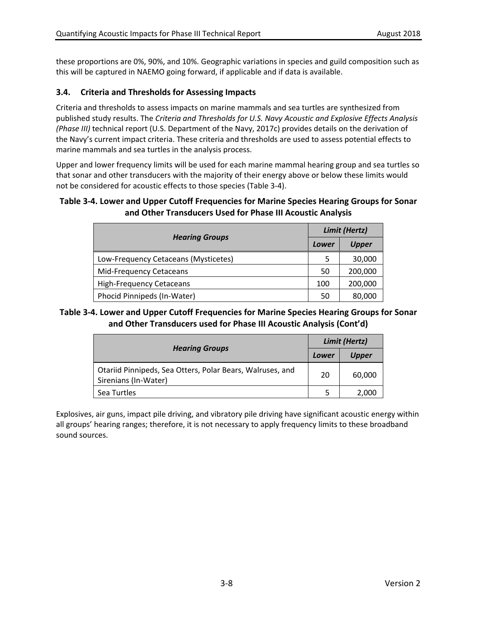these proportions are 0%, 90%, and 10%. Geographic variations in species and guild composition such as this will be captured in NAEMO going forward, if applicable and if data is available.

#### <span id="page-17-0"></span>**3.4. Criteria and Thresholds for Assessing Impacts**

Criteria and thresholds to assess impacts on marine mammals and sea turtles are synthesized from published study results. The *Criteria and Thresholds for U.S. Navy Acoustic and Explosive Effects Analysis (Phase III)* technical report (U.S. Department of the Navy, 2017c) provides details on the derivation of the Navy's current impact criteria. These criteria and thresholds are used to assess potential effects to marine mammals and sea turtles in the analysis process.

Upper and lower frequency limits will be used for each marine mammal hearing group and sea turtles so that sonar and other transducers with the majority of their energy above or below these limits would not be considered for acoustic effects to those species (Table 3-4).

#### **Table 3-4. Lower and Upper Cutoff Frequencies for Marine Species Hearing Groups for Sonar and Other Transducers Used for Phase III Acoustic Analysis**

| <b>Hearing Groups</b>                |    | Limit (Hertz) |  |
|--------------------------------------|----|---------------|--|
|                                      |    | <b>Upper</b>  |  |
| Low-Frequency Cetaceans (Mysticetes) | 5  | 30,000        |  |
| <b>Mid-Frequency Cetaceans</b>       |    | 200,000       |  |
| <b>High-Frequency Cetaceans</b>      |    | 200,000       |  |
| Phocid Pinnipeds (In-Water)          | 50 | 80,000        |  |

#### **Table 3-4. Lower and Upper Cutoff Frequencies for Marine Species Hearing Groups for Sonar and Other Transducers used for Phase III Acoustic Analysis (Cont'd)**

| <b>Hearing Groups</b>                                                             |    | Limit (Hertz) |  |
|-----------------------------------------------------------------------------------|----|---------------|--|
|                                                                                   |    | Upper         |  |
| Otariid Pinnipeds, Sea Otters, Polar Bears, Walruses, and<br>Sirenians (In-Water) | 20 | 60,000        |  |
| Sea Turtles                                                                       |    | 2.000         |  |

Explosives, air guns, impact pile driving, and vibratory pile driving have significant acoustic energy within all groups' hearing ranges; therefore, it is not necessary to apply frequency limits to these broadband sound sources.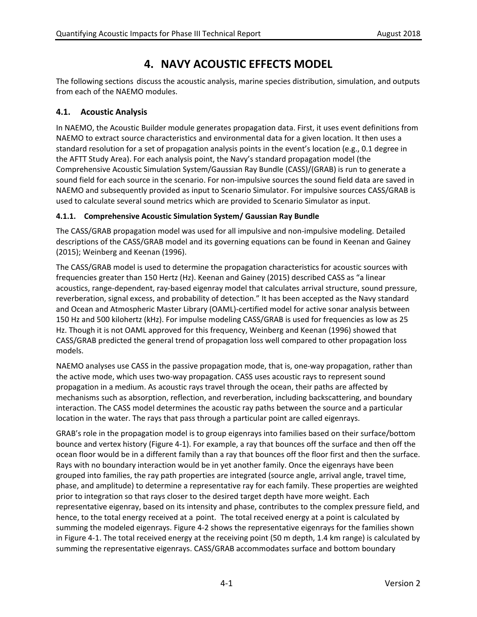### **4. NAVY ACOUSTIC EFFECTS MODEL**

<span id="page-18-0"></span>The following sections discuss the acoustic analysis, marine species distribution, simulation, and outputs from each of the NAEMO modules.

#### <span id="page-18-1"></span>**4.1. Acoustic Analysis**

In NAEMO, the Acoustic Builder module generates propagation data. First, it uses event definitions from NAEMO to extract source characteristics and environmental data for a given location. It then uses a standard resolution for a set of propagation analysis points in the event's location (e.g., 0.1 degree in the AFTT Study Area). For each analysis point, the Navy's standard propagation model (the Comprehensive Acoustic Simulation System/Gaussian Ray Bundle (CASS)/(GRAB) is run to generate a sound field for each source in the scenario. For non-impulsive sources the sound field data are saved in NAEMO and subsequently provided as input to Scenario Simulator. For impulsive sources CASS/GRAB is used to calculate several sound metrics which are provided to Scenario Simulator as input.

#### <span id="page-18-2"></span>**4.1.1. Comprehensive Acoustic Simulation System/ Gaussian Ray Bundle**

The CASS/GRAB propagation model was used for all impulsive and non-impulsive modeling. Detailed descriptions of the CASS/GRAB model and its governing equations can be found in Keenan and Gainey (2015); Weinberg and Keenan (1996).

The CASS/GRAB model is used to determine the propagation characteristics for acoustic sources with frequencies greater than 150 Hertz (Hz). Keenan and Gainey (2015) described CASS as "a linear acoustics, range-dependent, ray-based eigenray model that calculates arrival structure, sound pressure, reverberation, signal excess, and probability of detection." It has been accepted as the Navy standard and Ocean and Atmospheric Master Library (OAML)-certified model for active sonar analysis between 150 Hz and 500 kilohertz (kHz). For impulse modeling CASS/GRAB is used for frequencies as low as 25 Hz. Though it is not OAML approved for this frequency, Weinberg and Keenan (1996) showed that CASS/GRAB predicted the general trend of propagation loss well compared to other propagation loss models.

NAEMO analyses use CASS in the passive propagation mode, that is, one-way propagation, rather than the active mode, which uses two-way propagation. CASS uses acoustic rays to represent sound propagation in a medium. As acoustic rays travel through the ocean, their paths are affected by mechanisms such as absorption, reflection, and reverberation, including backscattering, and boundary interaction. The CASS model determines the acoustic ray paths between the source and a particular location in the water. The rays that pass through a particular point are called eigenrays.

GRAB's role in the propagation model is to group eigenrays into families based on their surface/bottom bounce and vertex history (Figure 4-1). For example, a ray that bounces off the surface and then off the ocean floor would be in a different family than a ray that bounces off the floor first and then the surface. Rays with no boundary interaction would be in yet another family. Once the eigenrays have been grouped into families, the ray path properties are integrated (source angle, arrival angle, travel time, phase, and amplitude) to determine a representative ray for each family. These properties are weighted prior to integration so that rays closer to the desired target depth have more weight. Each representative eigenray, based on its intensity and phase, contributes to the complex pressure field, and hence, to the total energy received at a point. The total received energy at a point is calculated by summing the modeled eigenrays. Figure 4-2 shows the representative eigenrays for the families shown in Figure 4-1. The total received energy at the receiving point (50 m depth, 1.4 km range) is calculated by summing the representative eigenrays. CASS/GRAB accommodates surface and bottom boundary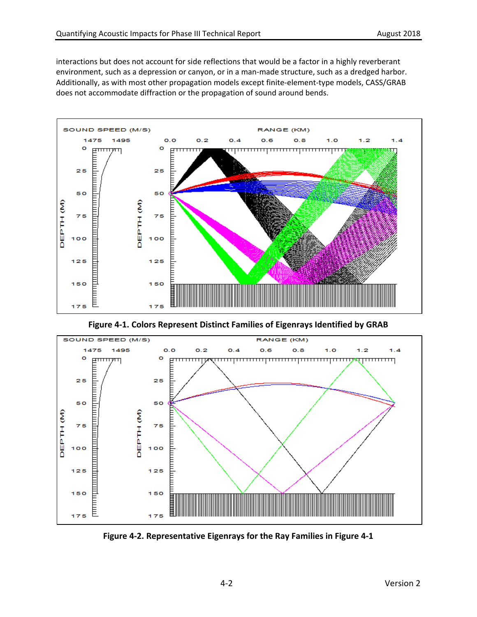interactions but does not account for side reflections that would be a factor in a highly reverberant environment, such as a depression or canyon, or in a man-made structure, such as a dredged harbor. Additionally, as with most other propagation models except finite-element-type models, CASS/GRAB does not accommodate diffraction or the propagation of sound around bends.



**Figure 4-1. Colors Represent Distinct Families of Eigenrays Identified by GRAB**



**Figure 4-2. Representative Eigenrays for the Ray Families in Figure 4-1**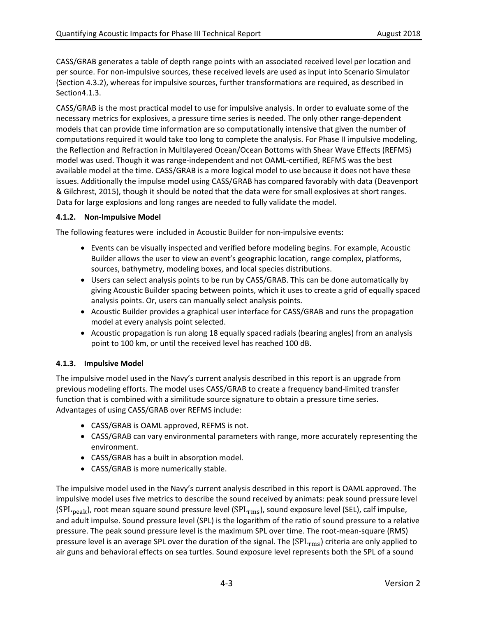CASS/GRAB generates a table of depth range points with an associated received level per location and per source. For non-impulsive sources, these received levels are used as input into Scenario Simulator (Section 4.3.2), whereas for impulsive sources, further transformations are required, as described in Section4.1.3.

CASS/GRAB is the most practical model to use for impulsive analysis. In order to evaluate some of the necessary metrics for explosives, a pressure time series is needed. The only other range-dependent models that can provide time information are so computationally intensive that given the number of computations required it would take too long to complete the analysis. For Phase II impulsive modeling, the Reflection and Refraction in Multilayered Ocean/Ocean Bottoms with Shear Wave Effects (REFMS) model was used. Though it was range-independent and not OAML-certified, REFMS was the best available model at the time. CASS/GRAB is a more logical model to use because it does not have these issues. Additionally the impulse model using CASS/GRAB has compared favorably with data (Deavenport & Gilchrest, 2015), though it should be noted that the data were for small explosives at short ranges. Data for large explosions and long ranges are needed to fully validate the model.

#### <span id="page-20-0"></span>**4.1.2. Non-Impulsive Model**

The following features were included in Acoustic Builder for non-impulsive events:

- Events can be visually inspected and verified before modeling begins. For example, Acoustic Builder allows the user to view an event's geographic location, range complex, platforms, sources, bathymetry, modeling boxes, and local species distributions.
- Users can select analysis points to be run by CASS/GRAB. This can be done automatically by giving Acoustic Builder spacing between points, which it uses to create a grid of equally spaced analysis points. Or, users can manually select analysis points.
- Acoustic Builder provides a graphical user interface for CASS/GRAB and runs the propagation model at every analysis point selected.
- Acoustic propagation is run along 18 equally spaced radials (bearing angles) from an analysis point to 100 km, or until the received level has reached 100 dB.

#### <span id="page-20-1"></span>**4.1.3. Impulsive Model**

The impulsive model used in the Navy's current analysis described in this report is an upgrade from previous modeling efforts. The model uses CASS/GRAB to create a frequency band-limited transfer function that is combined with a similitude source signature to obtain a pressure time series. Advantages of using CASS/GRAB over REFMS include:

- CASS/GRAB is OAML approved, REFMS is not.
- CASS/GRAB can vary environmental parameters with range, more accurately representing the environment.
- CASS/GRAB has a built in absorption model.
- CASS/GRAB is more numerically stable.

The impulsive model used in the Navy's current analysis described in this report is OAML approved. The impulsive model uses five metrics to describe the sound received by animats: peak sound pressure level (SPL<sub>peak</sub>), root mean square sound pressure level (SPL<sub>rms</sub>), sound exposure level (SEL), calf impulse, and adult impulse. Sound pressure level (SPL) is the logarithm of the ratio of sound pressure to a relative pressure. The peak sound pressure level is the maximum SPL over time. The root-mean-square (RMS) pressure level is an average SPL over the duration of the signal. The  $(SPL_{rms})$  criteria are only applied to air guns and behavioral effects on sea turtles. Sound exposure level represents both the SPL of a sound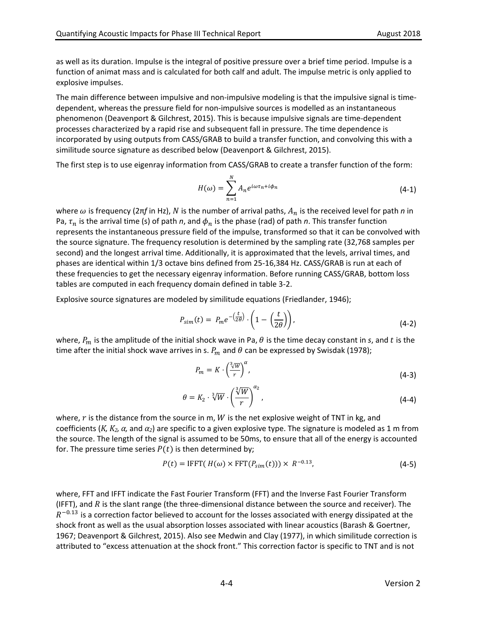as well as its duration. Impulse is the integral of positive pressure over a brief time period. Impulse is a function of animat mass and is calculated for both calf and adult. The impulse metric is only applied to explosive impulses.

The main difference between impulsive and non-impulsive modeling is that the impulsive signal is timedependent, whereas the pressure field for non-impulsive sources is modelled as an instantaneous phenomenon (Deavenport & Gilchrest, 2015). This is because impulsive signals are time-dependent processes characterized by a rapid rise and subsequent fall in pressure. The time dependence is incorporated by using outputs from CASS/GRAB to build a transfer function, and convolving this with a similitude source signature as described below (Deavenport & Gilchrest, 2015).

The first step is to use eigenray information from CASS/GRAB to create a transfer function of the form:

$$
H(\omega) = \sum_{n=1}^{N} A_n e^{i\omega \tau_n + i\phi_n}
$$
 (4-1)

where  $\omega$  is frequency (2 $\pi f$  in Hz), N is the number of arrival paths,  $A_n$  is the received level for path *n* in Pa,  $\tau_n$  is the arrival time (s) of path *n*, and  $\phi_n$  is the phase (rad) of path *n*. This transfer function represents the instantaneous pressure field of the impulse, transformed so that it can be convolved with the source signature. The frequency resolution is determined by the sampling rate (32,768 samples per second) and the longest arrival time. Additionally, it is approximated that the levels, arrival times, and phases are identical within 1/3 octave bins defined from 25-16,384 Hz. CASS/GRAB is run at each of these frequencies to get the necessary eigenray information. Before running CASS/GRAB, bottom loss tables are computed in each frequency domain defined in table 3-2.

Explosive source signatures are modeled by similitude equations (Friedlander, 1946);

$$
P_{sim}(t) = P_m e^{-\left(\frac{t}{2\theta}\right)} \cdot \left(1 - \left(\frac{t}{2\theta}\right)\right),\tag{4-2}
$$

where,  $P_m$  is the amplitude of the initial shock wave in Pa,  $\theta$  is the time decay constant in *s*, and *t* is the time after the initial shock wave arrives in s.  $P_m$  and  $\theta$  can be expressed by Swisdak (1978);

$$
P_m = K \cdot \left(\frac{\sqrt[3]{W}}{r}\right)^{\alpha},\tag{4-3}
$$

$$
\theta = K_2 \cdot \sqrt[3]{W} \cdot \left(\frac{\sqrt[3]{W}}{r}\right)^{\alpha_2},\tag{4-4}
$$

where,  $r$  is the distance from the source in m,  $W$  is the net explosive weight of TNT in kg, and coefficients ( $K$ ,  $K_2$ ,  $\alpha$ , and  $\alpha_2$ ) are specific to a given explosive type. The signature is modeled as 1 m from the source. The length of the signal is assumed to be 50ms, to ensure that all of the energy is accounted for. The pressure time series  $P(t)$  is then determined by;

$$
P(t) = \text{IFFT}(H(\omega) \times \text{FFT}(P_{sim}(t))) \times R^{-0.13},\tag{4-5}
$$

where, FFT and IFFT indicate the Fast Fourier Transform (FFT) and the Inverse Fast Fourier Transform (IFFT), and  $R$  is the slant range (the three-dimensional distance between the source and receiver). The  $R^{-0.13}$  is a correction factor believed to account for the losses associated with energy dissipated at the shock front as well as the usual absorption losses associated with linear acoustics (Barash & Goertner, 1967; Deavenport & Gilchrest, 2015). Also see Medwin and Clay (1977), in which similitude correction is attributed to "excess attenuation at the shock front." This correction factor is specific to TNT and is not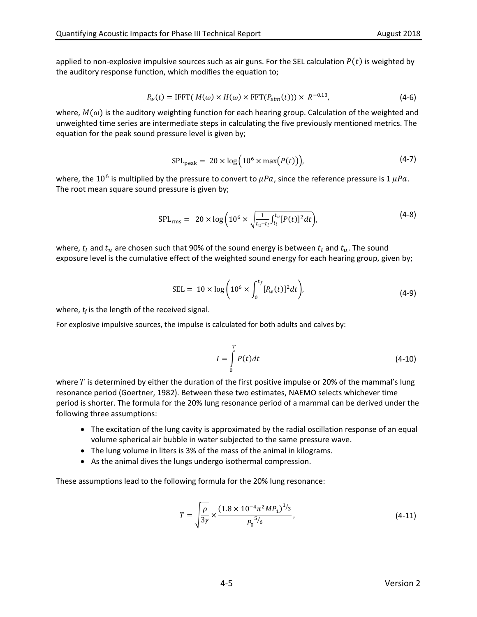applied to non-explosive impulsive sources such as air guns. For the SEL calculation  $P(t)$  is weighted by the auditory response function, which modifies the equation to;

$$
P_{w}(t) = \text{IFFT}(M(\omega) \times H(\omega) \times \text{FFT}(P_{sim}(t))) \times R^{-0.13}, \tag{4-6}
$$

where,  $M(\omega)$  is the auditory weighting function for each hearing group. Calculation of the weighted and unweighted time series are intermediate steps in calculating the five previously mentioned metrics. The equation for the peak sound pressure level is given by;

$$
SPL_{\text{peak}} = 20 \times \log(10^6 \times \max(P(t))), \tag{4-7}
$$

where, the 10<sup>6</sup> is multiplied by the pressure to convert to  $\mu Pa$ , since the reference pressure is 1  $\mu Pa$ . The root mean square sound pressure is given by;

$$
SPL_{rms} = 20 \times \log \left( 10^6 \times \sqrt{\frac{1}{t_u - t_l} \int_{t_l}^{t_u} [P(t)]^2 dt} \right), \tag{4-8}
$$

where,  $t_l$  and  $t_u$  are chosen such that 90% of the sound energy is between  $t_l$  and  $t_u$ . The sound exposure level is the cumulative effect of the weighted sound energy for each hearing group, given by;

$$
SEL = 10 \times \log \left( 10^6 \times \int_0^{t_f} [P_w(t)]^2 dt \right), \tag{4-9}
$$

where,  $t_f$  is the length of the received signal.

For explosive impulsive sources, the impulse is calculated for both adults and calves by:

$$
I = \int_{0}^{T} P(t)dt
$$
 (4-10)

where  $T$  is determined by either the duration of the first positive impulse or 20% of the mammal's lung resonance period (Goertner, 1982). Between these two estimates, NAEMO selects whichever time period is shorter. The formula for the 20% lung resonance period of a mammal can be derived under the following three assumptions:

- The excitation of the lung cavity is approximated by the radial oscillation response of an equal volume spherical air bubble in water subjected to the same pressure wave.
- The lung volume in liters is 3% of the mass of the animal in kilograms.
- As the animal dives the lungs undergo isothermal compression.

These assumptions lead to the following formula for the 20% lung resonance:

$$
T = \sqrt{\frac{\rho}{3\gamma}} \times \frac{\left(1.8 \times 10^{-4} \pi^2 M P_1\right)^{1/3}}{P_0^{5/6}},\tag{4-11}
$$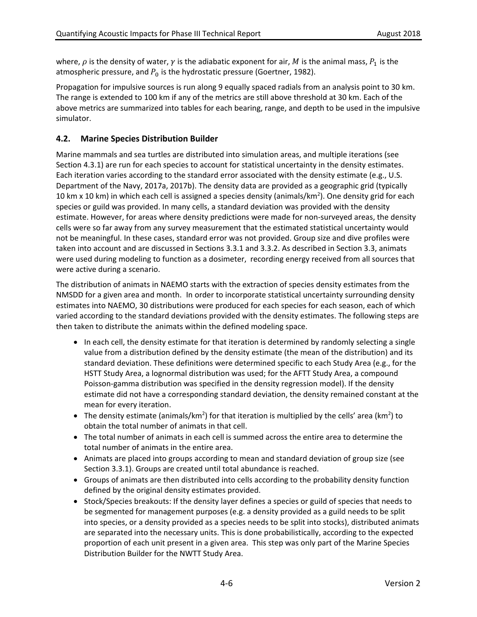where,  $\rho$  is the density of water,  $\gamma$  is the adiabatic exponent for air, M is the animal mass,  $P_1$  is the atmospheric pressure, and  $P_0$  is the hydrostatic pressure (Goertner, 1982).

Propagation for impulsive sources is run along 9 equally spaced radials from an analysis point to 30 km. The range is extended to 100 km if any of the metrics are still above threshold at 30 km. Each of the above metrics are summarized into tables for each bearing, range, and depth to be used in the impulsive simulator.

#### <span id="page-23-0"></span>**4.2. Marine Species Distribution Builder**

Marine mammals and sea turtles are distributed into simulation areas, and multiple iterations (see Section 4.3.1) are run for each species to account for statistical uncertainty in the density estimates. Each iteration varies according to the standard error associated with the density estimate (e.g., U.S. Department of the Navy, 2017a, 2017b). The density data are provided as a geographic grid (typically 10 km x 10 km) in which each cell is assigned a species density (animals/km<sup>2</sup>). One density grid for each species or guild was provided. In many cells, a standard deviation was provided with the density estimate. However, for areas where density predictions were made for non-surveyed areas, the density cells were so far away from any survey measurement that the estimated statistical uncertainty would not be meaningful. In these cases, standard error was not provided. Group size and dive profiles were taken into account and are discussed in Sections 3.3.1 and 3.3.2. As described in Section 3.3, animats were used during modeling to function as a dosimeter, recording energy received from all sources that were active during a scenario.

The distribution of animats in NAEMO starts with the extraction of species density estimates from the NMSDD for a given area and month. In order to incorporate statistical uncertainty surrounding density estimates into NAEMO, 30 distributions were produced for each species for each season, each of which varied according to the standard deviations provided with the density estimates. The following steps are then taken to distribute the animats within the defined modeling space.

- In each cell, the density estimate for that iteration is determined by randomly selecting a single value from a distribution defined by the density estimate (the mean of the distribution) and its standard deviation. These definitions were determined specific to each Study Area (e.g., for the HSTT Study Area, a lognormal distribution was used; for the AFTT Study Area, a compound Poisson-gamma distribution was specified in the density regression model). If the density estimate did not have a corresponding standard deviation, the density remained constant at the mean for every iteration.
- The density estimate (animals/km<sup>2</sup>) for that iteration is multiplied by the cells' area (km<sup>2</sup>) to obtain the total number of animats in that cell.
- The total number of animats in each cell is summed across the entire area to determine the total number of animats in the entire area.
- Animats are placed into groups according to mean and standard deviation of group size (see Section 3.3.1). Groups are created until total abundance is reached.
- Groups of animats are then distributed into cells according to the probability density function defined by the original density estimates provided.
- Stock/Species breakouts: If the density layer defines a species or guild of species that needs to be segmented for management purposes (e.g. a density provided as a guild needs to be split into species, or a density provided as a species needs to be split into stocks), distributed animats are separated into the necessary units. This is done probabilistically, according to the expected proportion of each unit present in a given area. This step was only part of the Marine Species Distribution Builder for the NWTT Study Area.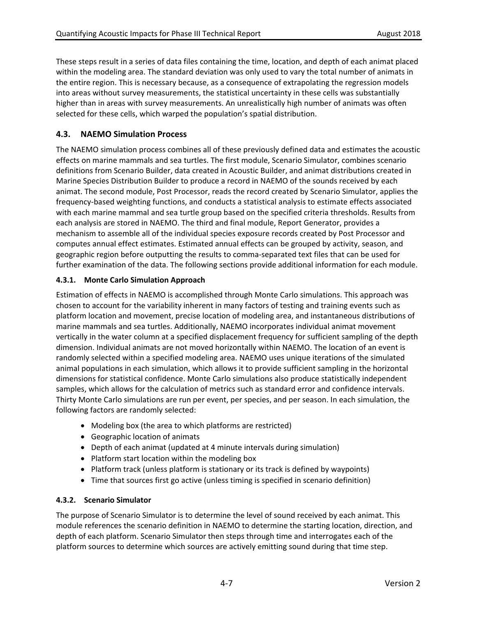These steps result in a series of data files containing the time, location, and depth of each animat placed within the modeling area. The standard deviation was only used to vary the total number of animats in the entire region. This is necessary because, as a consequence of extrapolating the regression models into areas without survey measurements, the statistical uncertainty in these cells was substantially higher than in areas with survey measurements. An unrealistically high number of animats was often selected for these cells, which warped the population's spatial distribution.

#### <span id="page-24-0"></span>**4.3. NAEMO Simulation Process**

The NAEMO simulation process combines all of these previously defined data and estimates the acoustic effects on marine mammals and sea turtles. The first module, Scenario Simulator, combines scenario definitions from Scenario Builder, data created in Acoustic Builder, and animat distributions created in Marine Species Distribution Builder to produce a record in NAEMO of the sounds received by each animat. The second module, Post Processor, reads the record created by Scenario Simulator, applies the frequency-based weighting functions, and conducts a statistical analysis to estimate effects associated with each marine mammal and sea turtle group based on the specified criteria thresholds. Results from each analysis are stored in NAEMO. The third and final module, Report Generator, provides a mechanism to assemble all of the individual species exposure records created by Post Processor and computes annual effect estimates. Estimated annual effects can be grouped by activity, season, and geographic region before outputting the results to comma-separated text files that can be used for further examination of the data. The following sections provide additional information for each module.

#### <span id="page-24-1"></span>**4.3.1. Monte Carlo Simulation Approach**

Estimation of effects in NAEMO is accomplished through Monte Carlo simulations. This approach was chosen to account for the variability inherent in many factors of testing and training events such as platform location and movement, precise location of modeling area, and instantaneous distributions of marine mammals and sea turtles. Additionally, NAEMO incorporates individual animat movement vertically in the water column at a specified displacement frequency for sufficient sampling of the depth dimension. Individual animats are not moved horizontally within NAEMO. The location of an event is randomly selected within a specified modeling area. NAEMO uses unique iterations of the simulated animal populations in each simulation, which allows it to provide sufficient sampling in the horizontal dimensions for statistical confidence. Monte Carlo simulations also produce statistically independent samples, which allows for the calculation of metrics such as standard error and confidence intervals. Thirty Monte Carlo simulations are run per event, per species, and per season. In each simulation, the following factors are randomly selected:

- Modeling box (the area to which platforms are restricted)
- Geographic location of animats
- Depth of each animat (updated at 4 minute intervals during simulation)
- Platform start location within the modeling box
- Platform track (unless platform is stationary or its track is defined by waypoints)
- Time that sources first go active (unless timing is specified in scenario definition)

#### <span id="page-24-2"></span>**4.3.2. Scenario Simulator**

The purpose of Scenario Simulator is to determine the level of sound received by each animat. This module references the scenario definition in NAEMO to determine the starting location, direction, and depth of each platform. Scenario Simulator then steps through time and interrogates each of the platform sources to determine which sources are actively emitting sound during that time step.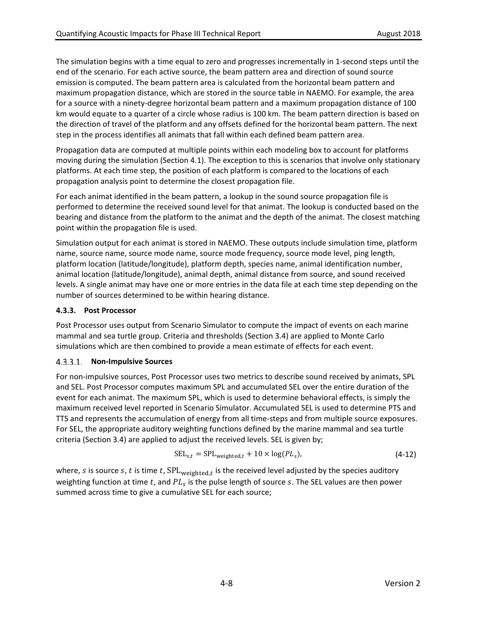The simulation begins with a time equal to zero and progresses incrementally in 1-second steps until the end of the scenario. For each active source, the beam pattern area and direction of sound source emission is computed. The beam pattern area is calculated from the horizontal beam pattern and maximum propagation distance, which are stored in the source table in NAEMO. For example, the area for a source with a ninety-degree horizontal beam pattern and a maximum propagation distance of 100 km would equate to a quarter of a circle whose radius is 100 km. The beam pattern direction is based on the direction of travel of the platform and any offsets defined for the horizontal beam pattern. The next step in the process identifies all animats that fall within each defined beam pattern area.

Propagation data are computed at multiple points within each modeling box to account for platforms moving during the simulation (Section 4.1). The exception to this is scenarios that involve only stationary platforms. At each time step, the position of each platform is compared to the locations of each propagation analysis point to determine the closest propagation file.

For each animat identified in the beam pattern, a lookup in the sound source propagation file is performed to determine the received sound level for that animat. The lookup is conducted based on the bearing and distance from the platform to the animat and the depth of the animat. The closest matching point within the propagation file is used.

Simulation output for each animat is stored in NAEMO. These outputs include simulation time, platform name, source name, source mode name, source mode frequency, source mode level, ping length, platform location (latitude/longitude), platform depth, species name, animal identification number, animal location (latitude/longitude), animal depth, animal distance from source, and sound received levels. A single animat may have one or more entries in the data file at each time step depending on the number of sources determined to be within hearing distance.

#### <span id="page-25-0"></span>**4.3.3. Post Processor**

Post Processor uses output from Scenario Simulator to compute the impact of events on each marine mammal and sea turtle group. Criteria and thresholds (Section 3.4) are applied to Monte Carlo simulations which are then combined to provide a mean estimate of effects for each event.

#### **Non-Impulsive Sources**

For non-impulsive sources, Post Processor uses two metrics to describe sound received by animats, SPL and SEL. Post Processor computes maximum SPL and accumulated SEL over the entire duration of the event for each animat. The maximum SPL, which is used to determine behavioral effects, is simply the maximum received level reported in Scenario Simulator. Accumulated SEL is used to determine PTS and TTS and represents the accumulation of energy from all time-steps and from multiple source exposures. For SEL, the appropriate auditory weighting functions defined by the marine mammal and sea turtle criteria (Section 3.4) are applied to adjust the received levels. SEL is given by;

$$
SEL_{s,t} = SPL_{weighted,t} + 10 \times \log(PL_s), \tag{4-12}
$$

where, s is source s, t is time t,  $SPL_{weighted, t}$  is the received level adjusted by the species auditory weighting function at time t, and  $PL_s$  is the pulse length of source s. The SEL values are then power summed across time to give a cumulative SEL for each source;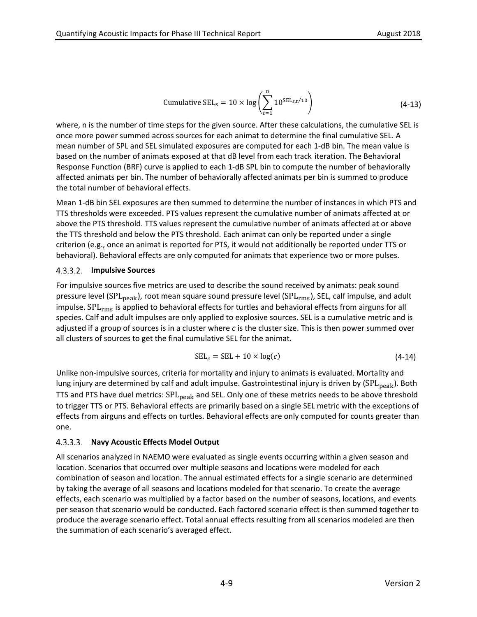Cumulative 
$$
SEL_s = 10 \times \log \left( \sum_{t=1}^{n} 10^{SEL_{s,t}/10} \right)
$$
 (4-13)

where, n is the number of time steps for the given source. After these calculations, the cumulative SEL is once more power summed across sources for each animat to determine the final cumulative SEL. A mean number of SPL and SEL simulated exposures are computed for each 1-dB bin. The mean value is based on the number of animats exposed at that dB level from each track iteration. The Behavioral Response Function (BRF) curve is applied to each 1-dB SPL bin to compute the number of behaviorally affected animats per bin. The number of behaviorally affected animats per bin is summed to produce the total number of behavioral effects.

Mean 1-dB bin SEL exposures are then summed to determine the number of instances in which PTS and TTS thresholds were exceeded. PTS values represent the cumulative number of animats affected at or above the PTS threshold. TTS values represent the cumulative number of animats affected at or above the TTS threshold and below the PTS threshold. Each animat can only be reported under a single criterion (e.g., once an animat is reported for PTS, it would not additionally be reported under TTS or behavioral). Behavioral effects are only computed for animats that experience two or more pulses.

#### **Impulsive Sources**

For impulsive sources five metrics are used to describe the sound received by animats: peak sound pressure level (SPL<sub>peak</sub>), root mean square sound pressure level (SPL<sub>rms</sub>), SEL, calf impulse, and adult impulse. SPL<sub>rms</sub> is applied to behavioral effects for turtles and behavioral effects from airguns for all species. Calf and adult impulses are only applied to explosive sources. SEL is a cumulative metric and is adjusted if a group of sources is in a cluster where *c* is the cluster size. This is then power summed over all clusters of sources to get the final cumulative SEL for the animat.

$$
SELc = SEL + 10 \times log(c)
$$
 (4-14)

Unlike non-impulsive sources, criteria for mortality and injury to animats is evaluated. Mortality and lung injury are determined by calf and adult impulse. Gastrointestinal injury is driven by (SPL<sub>peak</sub>). Both TTS and PTS have duel metrics: SPL<sub>peak</sub> and SEL. Only one of these metrics needs to be above threshold to trigger TTS or PTS. Behavioral effects are primarily based on a single SEL metric with the exceptions of effects from airguns and effects on turtles. Behavioral effects are only computed for counts greater than one.

#### **Navy Acoustic Effects Model Output**

All scenarios analyzed in NAEMO were evaluated as single events occurring within a given season and location. Scenarios that occurred over multiple seasons and locations were modeled for each combination of season and location. The annual estimated effects for a single scenario are determined by taking the average of all seasons and locations modeled for that scenario. To create the average effects, each scenario was multiplied by a factor based on the number of seasons, locations, and events per season that scenario would be conducted. Each factored scenario effect is then summed together to produce the average scenario effect. Total annual effects resulting from all scenarios modeled are then the summation of each scenario's averaged effect.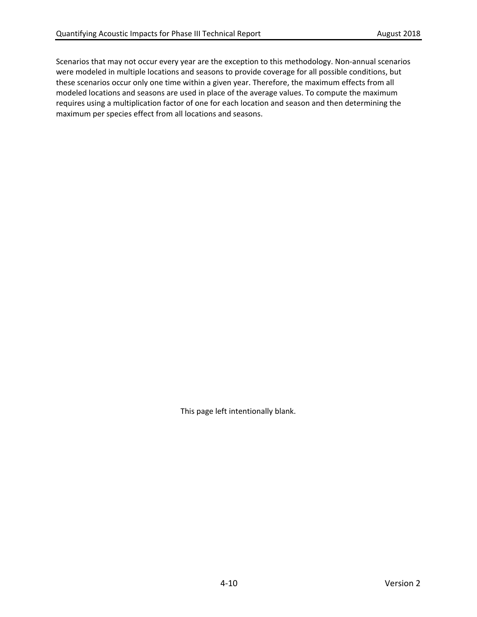Scenarios that may not occur every year are the exception to this methodology. Non-annual scenarios were modeled in multiple locations and seasons to provide coverage for all possible conditions, but these scenarios occur only one time within a given year. Therefore, the maximum effects from all modeled locations and seasons are used in place of the average values. To compute the maximum requires using a multiplication factor of one for each location and season and then determining the maximum per species effect from all locations and seasons.

This page left intentionally blank.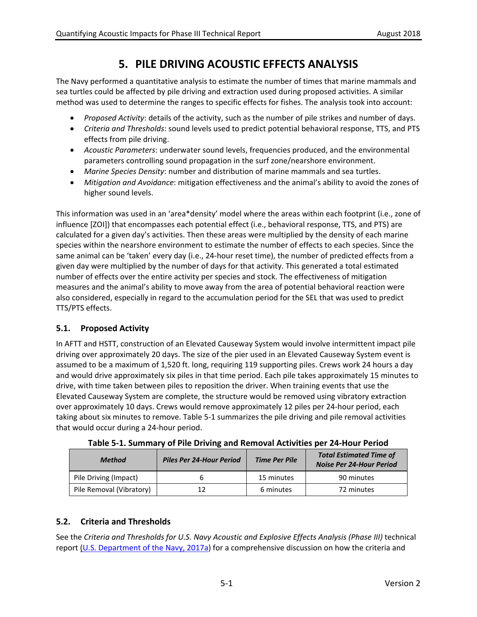### **5. PILE DRIVING ACOUSTIC EFFECTS ANALYSIS**

<span id="page-28-0"></span>The Navy performed a quantitative analysis to estimate the number of times that marine mammals and sea turtles could be affected by pile driving and extraction used during proposed activities. A similar method was used to determine the ranges to specific effects for fishes. The analysis took into account:

- *Proposed Activity*: details of the activity, such as the number of pile strikes and number of days.
- *Criteria and Thresholds*: sound levels used to predict potential behavioral response, TTS, and PTS effects from pile driving.
- *Acoustic Parameters*: underwater sound levels, frequencies produced, and the environmental parameters controlling sound propagation in the surf zone/nearshore environment.
- *Marine Species Density*: number and distribution of marine mammals and sea turtles.
- *Mitigation and Avoidance*: mitigation effectiveness and the animal's ability to avoid the zones of higher sound levels.

This information was used in an 'area\*density' model where the areas within each footprint (i.e., zone of influence [ZOI]) that encompasses each potential effect (i.e., behavioral response, TTS, and PTS) are calculated for a given day's activities. Then these areas were multiplied by the density of each marine species within the nearshore environment to estimate the number of effects to each species. Since the same animal can be 'taken' every day (i.e., 24-hour reset time), the number of predicted effects from a given day were multiplied by the number of days for that activity. This generated a total estimated number of effects over the entire activity per species and stock. The effectiveness of mitigation measures and the animal's ability to move away from the area of potential behavioral reaction were also considered, especially in regard to the accumulation period for the SEL that was used to predict TTS/PTS effects.

#### <span id="page-28-1"></span>**5.1. Proposed Activity**

In AFTT and HSTT, construction of an Elevated Causeway System would involve intermittent impact pile driving over approximately 20 days. The size of the pier used in an Elevated Causeway System event is assumed to be a maximum of 1,520 ft. long, requiring 119 supporting piles. Crews work 24 hours a day and would drive approximately six piles in that time period. Each pile takes approximately 15 minutes to drive, with time taken between piles to reposition the driver. When training events that use the Elevated Causeway System are complete, the structure would be removed using vibratory extraction over approximately 10 days. Crews would remove approximately 12 piles per 24-hour period, each taking about six minutes to remove. [Table 5-1](#page-28-3) summarizes the pile driving and pile removal activities that would occur during a 24-hour period.

<span id="page-28-3"></span>

| <b>Method</b>            | <b>Piles Per 24-Hour Period</b> | <b>Time Per Pile</b> | <b>Total Estimated Time of</b><br><b>Noise Per 24-Hour Period</b> |
|--------------------------|---------------------------------|----------------------|-------------------------------------------------------------------|
| Pile Driving (Impact)    |                                 | 15 minutes           | 90 minutes                                                        |
| Pile Removal (Vibratory) |                                 | 6 minutes            | 72 minutes                                                        |

**Table 5-1. Summary of Pile Driving and Removal Activities per 24-Hour Period**

#### <span id="page-28-2"></span>**5.2. Criteria and Thresholds**

See the *Criteria and Thresholds for U.S. Navy Acoustic and Explosive Effects Analysis (Phase III)* technical report (U.S. Department of the Navy, 2017a) for a comprehensive discussion on how the criteria and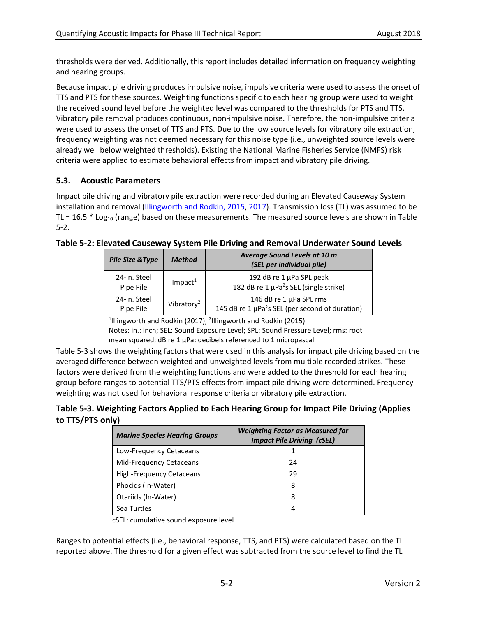thresholds were derived. Additionally, this report includes detailed information on frequency weighting and hearing groups.

Because impact pile driving produces impulsive noise, impulsive criteria were used to assess the onset of TTS and PTS for these sources. Weighting functions specific to each hearing group were used to weight the received sound level before the weighted level was compared to the thresholds for PTS and TTS. Vibratory pile removal produces continuous, non-impulsive noise. Therefore, the non-impulsive criteria were used to assess the onset of TTS and PTS. Due to the low source levels for vibratory pile extraction, frequency weighting was not deemed necessary for this noise type (i.e., unweighted source levels were already well below weighted thresholds). Existing the National Marine Fisheries Service (NMFS) risk criteria were applied to estimate behavioral effects from impact and vibratory pile driving.

#### <span id="page-29-0"></span>**5.3. Acoustic Parameters**

Impact pile driving and vibratory pile extraction were recorded during an Elevated Causeway System installation and removal (Illingworth and Rodkin, 2015, 2017). Transmission loss (TL) was assumed to be TL =  $16.5$  \* Log<sub>10</sub> (range) based on these measurements. The measured source levels are shown in Table [5-2.](#page-29-1)

| <b>Pile Size &amp; Type</b> | <b>Method</b>          | <b>Average Sound Levels at 10 m</b><br>(SEL per individual pile)                            |
|-----------------------------|------------------------|---------------------------------------------------------------------------------------------|
| 24-in. Steel<br>Pipe Pile   | $Im$ pact <sup>1</sup> | 192 dB re 1 µPa SPL peak<br>182 dB re 1 µPa <sup>2</sup> s SEL (single strike)              |
| 24-in. Steel<br>Pipe Pile   | Vibratory <sup>2</sup> | 146 dB re $1 \mu$ Pa SPL rms<br>145 dB re 1 µPa <sup>2</sup> s SEL (per second of duration) |

<span id="page-29-1"></span>**Table 5-2: Elevated Causeway System Pile Driving and Removal Underwater Sound Levels**

<sup>1</sup>Illingworth and Rodkin (2017), <sup>2</sup>Illingworth and Rodkin (2015) Notes: in.: inch; SEL: Sound Exposure Level; SPL: Sound Pressure Level; rms: root mean squared; dB re 1 µPa: decibels referenced to 1 micropascal

[Table 5-3](#page-29-2) shows the weighting factors that were used in this analysis for impact pile driving based on the averaged difference between weighted and unweighted levels from multiple recorded strikes. These factors were derived from the weighting functions and were added to the threshold for each hearing group before ranges to potential TTS/PTS effects from impact pile driving were determined. Frequency weighting was not used for behavioral response criteria or vibratory pile extraction.

<span id="page-29-2"></span>

| Table 5-3. Weighting Factors Applied to Each Hearing Group for Impact Pile Driving (Applies |  |
|---------------------------------------------------------------------------------------------|--|
| to TTS/PTS only)                                                                            |  |

| <b>Marine Species Hearing Groups</b> | <b>Weighting Factor as Measured for</b><br><b>Impact Pile Driving (cSEL)</b> |
|--------------------------------------|------------------------------------------------------------------------------|
| Low-Frequency Cetaceans              |                                                                              |
| Mid-Frequency Cetaceans              | 24                                                                           |
| <b>High-Frequency Cetaceans</b>      | 29                                                                           |
| Phocids (In-Water)                   | 8                                                                            |
| Otariids (In-Water)                  |                                                                              |
| Sea Turtles                          |                                                                              |

cSEL: cumulative sound exposure level

Ranges to potential effects (i.e., behavioral response, TTS, and PTS) were calculated based on the TL reported above. The threshold for a given effect was subtracted from the source level to find the TL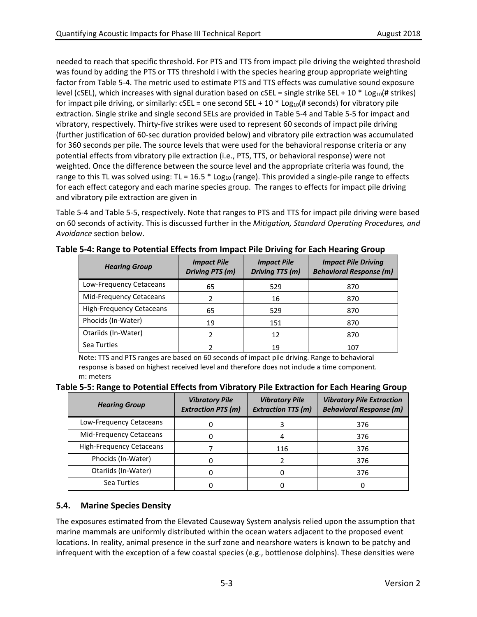needed to reach that specific threshold. For PTS and TTS from impact pile driving the weighted threshold was found by adding the PTS or TTS threshold i with the species hearing group appropriate weighting factor from [Table 5-4.](#page-30-1) The metric used to estimate PTS and TTS effects was cumulative sound exposure level (cSEL), which increases with signal duration based on cSEL = single strike SEL + 10  $*$  Log<sub>10</sub>(# strikes) for impact pile driving, or similarly: cSEL = one second SEL + 10  $*$  Log<sub>10</sub>(# seconds) for vibratory pile extraction. Single strike and single second SELs are provided in [Table 5-4](#page-30-1) and [Table 5-5](#page-30-2) for impact and vibratory, respectively. Thirty-five strikes were used to represent 60 seconds of impact pile driving (further justification of 60-sec duration provided below) and vibratory pile extraction was accumulated for 360 seconds per pile. The source levels that were used for the behavioral response criteria or any potential effects from vibratory pile extraction (i.e., PTS, TTS, or behavioral response) were not weighted. Once the difference between the source level and the appropriate criteria was found, the range to this TL was solved using: TL =  $16.5$  \* Log<sub>10</sub> (range). This provided a single-pile range to effects for each effect category and each marine species group. The ranges to effects for impact pile driving and vibratory pile extraction are given in

[Table 5-4](#page-30-3) and [Table](#page-30-2) 5-5, respectively. Note that ranges to PTS and TTS for impact pile driving were based on 60 seconds of activity. This is discussed further in the *Mitigation, Standard Operating Procedures, and Avoidance* section below.

<span id="page-30-3"></span>

| <b>Hearing Group</b>            | <b>Impact Pile</b><br><b>Driving PTS (m)</b> | <b>Impact Pile</b><br>Driving TTS (m) | <b>Impact Pile Driving</b><br><b>Behavioral Response (m)</b> |
|---------------------------------|----------------------------------------------|---------------------------------------|--------------------------------------------------------------|
| Low-Frequency Cetaceans         | 65                                           | 529                                   | 870                                                          |
| Mid-Frequency Cetaceans         |                                              | 16                                    | 870                                                          |
| <b>High-Frequency Cetaceans</b> | 65                                           | 529                                   | 870                                                          |
| Phocids (In-Water)              | 19                                           | 151                                   | 870                                                          |
| Otariids (In-Water)             |                                              | 12                                    | 870                                                          |
| Sea Turtles                     |                                              | 19                                    | 107                                                          |

<span id="page-30-1"></span>

| Table 5-4: Range to Potential Effects from Impact Pile Driving for Each Hearing Group |  |  |
|---------------------------------------------------------------------------------------|--|--|
|---------------------------------------------------------------------------------------|--|--|

Note: TTS and PTS ranges are based on 60 seconds of impact pile driving. Range to behavioral response is based on highest received level and therefore does not include a time component. m: meters

<span id="page-30-2"></span>

| <b>Hearing Group</b>            | <b>Vibratory Pile</b><br><b>Extraction PTS (m)</b> | <b>Vibratory Pile</b><br><b>Extraction TTS (m)</b> | <b>Vibratory Pile Extraction</b><br><b>Behavioral Response (m)</b> |
|---------------------------------|----------------------------------------------------|----------------------------------------------------|--------------------------------------------------------------------|
| Low-Frequency Cetaceans         |                                                    |                                                    | 376                                                                |
| Mid-Frequency Cetaceans         |                                                    |                                                    | 376                                                                |
| <b>High-Frequency Cetaceans</b> |                                                    | 116                                                | 376                                                                |
| Phocids (In-Water)              |                                                    |                                                    | 376                                                                |
| Otariids (In-Water)             |                                                    |                                                    | 376                                                                |
| Sea Turtles                     |                                                    |                                                    |                                                                    |

#### <span id="page-30-0"></span>**5.4. Marine Species Density**

The exposures estimated from the Elevated Causeway System analysis relied upon the assumption that marine mammals are uniformly distributed within the ocean waters adjacent to the proposed event locations. In reality, animal presence in the surf zone and nearshore waters is known to be patchy and infrequent with the exception of a few coastal species (e.g., bottlenose dolphins). These densities were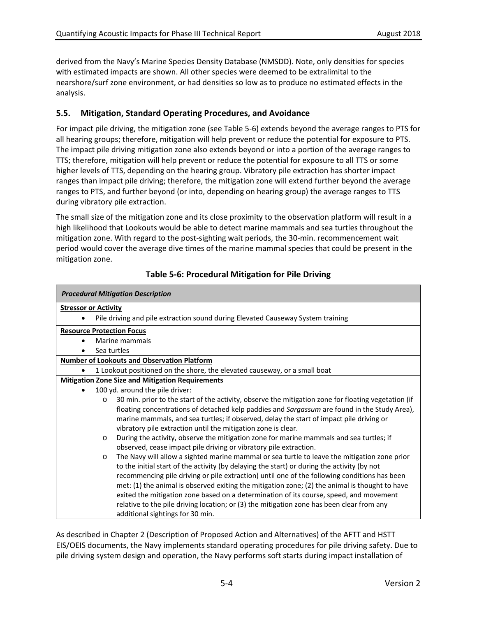derived from the Navy's Marine Species Density Database (NMSDD). Note, only densities for species with estimated impacts are shown. All other species were deemed to be extralimital to the nearshore/surf zone environment, or had densities so low as to produce no estimated effects in the analysis.

#### <span id="page-31-0"></span>**5.5. Mitigation, Standard Operating Procedures, and Avoidance**

For impact pile driving, the mitigation zone (see [Table 5-6\)](#page-31-1) extends beyond the average ranges to PTS for all hearing groups; therefore, mitigation will help prevent or reduce the potential for exposure to PTS. The impact pile driving mitigation zone also extends beyond or into a portion of the average ranges to TTS; therefore, mitigation will help prevent or reduce the potential for exposure to all TTS or some higher levels of TTS, depending on the hearing group. Vibratory pile extraction has shorter impact ranges than impact pile driving; therefore, the mitigation zone will extend further beyond the average ranges to PTS, and further beyond (or into, depending on hearing group) the average ranges to TTS during vibratory pile extraction.

The small size of the mitigation zone and its close proximity to the observation platform will result in a high likelihood that Lookouts would be able to detect marine mammals and sea turtles throughout the mitigation zone. With regard to the post-sighting wait periods, the 30-min. recommencement wait period would cover the average dive times of the marine mammal species that could be present in the mitigation zone.

<span id="page-31-1"></span>

| <b>Procedural Mitigation Description</b>                                                                       |  |  |  |  |
|----------------------------------------------------------------------------------------------------------------|--|--|--|--|
| <b>Stressor or Activity</b>                                                                                    |  |  |  |  |
| Pile driving and pile extraction sound during Elevated Causeway System training                                |  |  |  |  |
| <b>Resource Protection Focus</b>                                                                               |  |  |  |  |
| Marine mammals                                                                                                 |  |  |  |  |
| Sea turtles                                                                                                    |  |  |  |  |
| <b>Number of Lookouts and Observation Platform</b>                                                             |  |  |  |  |
| 1 Lookout positioned on the shore, the elevated causeway, or a small boat                                      |  |  |  |  |
| <b>Mitigation Zone Size and Mitigation Requirements</b>                                                        |  |  |  |  |
| 100 yd. around the pile driver:                                                                                |  |  |  |  |
| 30 min. prior to the start of the activity, observe the mitigation zone for floating vegetation (if<br>$\circ$ |  |  |  |  |
| floating concentrations of detached kelp paddies and Sargassum are found in the Study Area),                   |  |  |  |  |
| marine mammals, and sea turtles; if observed, delay the start of impact pile driving or                        |  |  |  |  |
| vibratory pile extraction until the mitigation zone is clear.                                                  |  |  |  |  |
| During the activity, observe the mitigation zone for marine mammals and sea turtles; if<br>$\circ$             |  |  |  |  |
| observed, cease impact pile driving or vibratory pile extraction.                                              |  |  |  |  |
| The Navy will allow a sighted marine mammal or sea turtle to leave the mitigation zone prior<br>$\circ$        |  |  |  |  |
| to the initial start of the activity (by delaying the start) or during the activity (by not                    |  |  |  |  |
| recommencing pile driving or pile extraction) until one of the following conditions has been                   |  |  |  |  |
| met: (1) the animal is observed exiting the mitigation zone; (2) the animal is thought to have                 |  |  |  |  |
| exited the mitigation zone based on a determination of its course, speed, and movement                         |  |  |  |  |
| relative to the pile driving location; or (3) the mitigation zone has been clear from any                      |  |  |  |  |
| additional sightings for 30 min.                                                                               |  |  |  |  |

#### **Table 5-6: Procedural Mitigation for Pile Driving**

As described in Chapter 2 (Description of Proposed Action and Alternatives) of the AFTT and HSTT EIS/OEIS documents, the Navy implements standard operating procedures for pile driving safety. Due to pile driving system design and operation, the Navy performs soft starts during impact installation of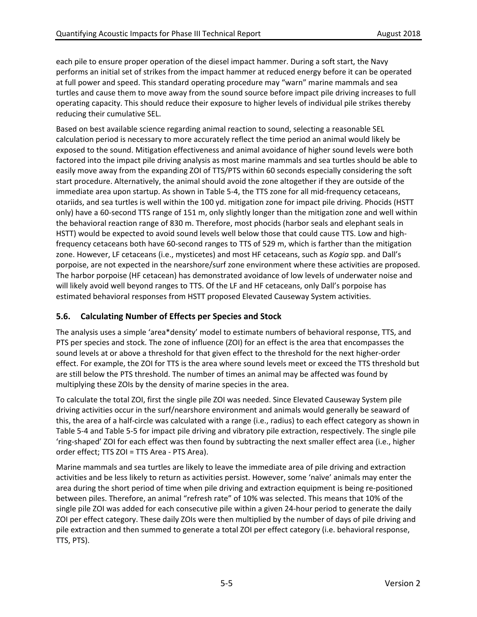each pile to ensure proper operation of the diesel impact hammer. During a soft start, the Navy performs an initial set of strikes from the impact hammer at reduced energy before it can be operated at full power and speed. This standard operating procedure may "warn" marine mammals and sea turtles and cause them to move away from the sound source before impact pile driving increases to full operating capacity. This should reduce their exposure to higher levels of individual pile strikes thereby reducing their cumulative SEL.

Based on best available science regarding animal reaction to sound, selecting a reasonable SEL calculation period is necessary to more accurately reflect the time period an animal would likely be exposed to the sound. Mitigation effectiveness and animal avoidance of higher sound levels were both factored into the impact pile driving analysis as most marine mammals and sea turtles should be able to easily move away from the expanding ZOI of TTS/PTS within 60 seconds especially considering the soft start procedure. Alternatively, the animal should avoid the zone altogether if they are outside of the immediate area upon startup. As shown in [Table 5-4,](#page-30-1) the TTS zone for all mid-frequency cetaceans, otariids, and sea turtles is well within the 100 yd. mitigation zone for impact pile driving. Phocids (HSTT only) have a 60-second TTS range of 151 m, only slightly longer than the mitigation zone and well within the behavioral reaction range of 830 m. Therefore, most phocids (harbor seals and elephant seals in HSTT) would be expected to avoid sound levels well below those that could cause TTS. Low and highfrequency cetaceans both have 60-second ranges to TTS of 529 m, which is farther than the mitigation zone. However, LF cetaceans (i.e., mysticetes) and most HF cetaceans, such as *Kogia* spp. and Dall's porpoise, are not expected in the nearshore/surf zone environment where these activities are proposed. The harbor porpoise (HF cetacean) has demonstrated avoidance of low levels of underwater noise and will likely avoid well beyond ranges to TTS. Of the LF and HF cetaceans, only Dall's porpoise has estimated behavioral responses from HSTT proposed Elevated Causeway System activities.

#### <span id="page-32-0"></span>**5.6. Calculating Number of Effects per Species and Stock**

The analysis uses a simple 'area\*density' model to estimate numbers of behavioral response, TTS, and PTS per species and stock. The zone of influence (ZOI) for an effect is the area that encompasses the sound levels at or above a threshold for that given effect to the threshold for the next higher-order effect. For example, the ZOI for TTS is the area where sound levels meet or exceed the TTS threshold but are still below the PTS threshold. The number of times an animal may be affected was found by multiplying these ZOIs by the density of marine species in the area.

To calculate the total ZOI, first the single pile ZOI was needed. Since Elevated Causeway System pile driving activities occur in the surf/nearshore environment and animals would generally be seaward of this, the area of a half-circle was calculated with a range (i.e., radius) to each effect category as shown in [Table 5-4](#page-30-1) and [Table 5-5](#page-30-2) for impact pile driving and vibratory pile extraction, respectively. The single pile 'ring-shaped' ZOI for each effect was then found by subtracting the next smaller effect area (i.e., higher order effect; TTS ZOI = TTS Area - PTS Area).

Marine mammals and sea turtles are likely to leave the immediate area of pile driving and extraction activities and be less likely to return as activities persist. However, some 'naïve' animals may enter the area during the short period of time when pile driving and extraction equipment is being re-positioned between piles. Therefore, an animal "refresh rate" of 10% was selected. This means that 10% of the single pile ZOI was added for each consecutive pile within a given 24-hour period to generate the daily ZOI per effect category. These daily ZOIs were then multiplied by the number of days of pile driving and pile extraction and then summed to generate a total ZOI per effect category (i.e. behavioral response, TTS, PTS).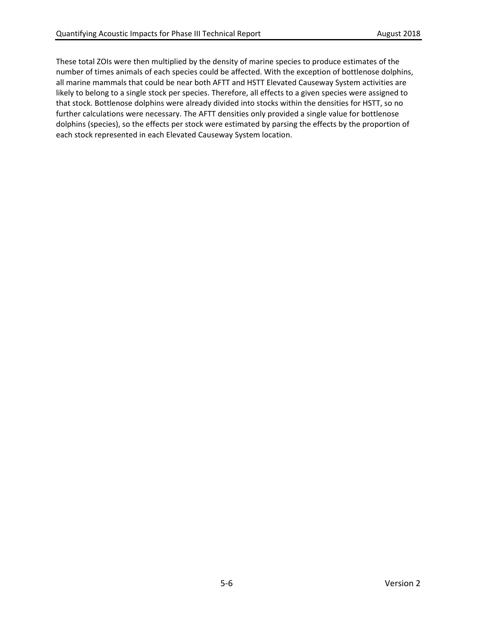These total ZOIs were then multiplied by the density of marine species to produce estimates of the number of times animals of each species could be affected. With the exception of bottlenose dolphins, all marine mammals that could be near both AFTT and HSTT Elevated Causeway System activities are likely to belong to a single stock per species. Therefore, all effects to a given species were assigned to that stock. Bottlenose dolphins were already divided into stocks within the densities for HSTT, so no further calculations were necessary. The AFTT densities only provided a single value for bottlenose dolphins (species), so the effects per stock were estimated by parsing the effects by the proportion of each stock represented in each Elevated Causeway System location.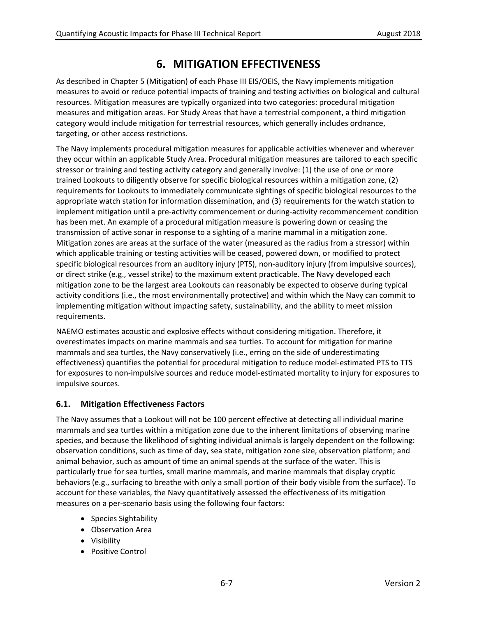### **6. MITIGATION EFFECTIVENESS**

<span id="page-34-0"></span>As described in Chapter 5 (Mitigation) of each Phase III EIS/OEIS, the Navy implements mitigation measures to avoid or reduce potential impacts of training and testing activities on biological and cultural resources. Mitigation measures are typically organized into two categories: procedural mitigation measures and mitigation areas. For Study Areas that have a terrestrial component, a third mitigation category would include mitigation for terrestrial resources, which generally includes ordnance, targeting, or other access restrictions.

The Navy implements procedural mitigation measures for applicable activities whenever and wherever they occur within an applicable Study Area. Procedural mitigation measures are tailored to each specific stressor or training and testing activity category and generally involve: (1) the use of one or more trained Lookouts to diligently observe for specific biological resources within a mitigation zone, (2) requirements for Lookouts to immediately communicate sightings of specific biological resources to the appropriate watch station for information dissemination, and (3) requirements for the watch station to implement mitigation until a pre-activity commencement or during-activity recommencement condition has been met. An example of a procedural mitigation measure is powering down or ceasing the transmission of active sonar in response to a sighting of a marine mammal in a mitigation zone. Mitigation zones are areas at the surface of the water (measured as the radius from a stressor) within which applicable training or testing activities will be ceased, powered down, or modified to protect specific biological resources from an auditory injury (PTS), non-auditory injury (from impulsive sources), or direct strike (e.g., vessel strike) to the maximum extent practicable. The Navy developed each mitigation zone to be the largest area Lookouts can reasonably be expected to observe during typical activity conditions (i.e., the most environmentally protective) and within which the Navy can commit to implementing mitigation without impacting safety, sustainability, and the ability to meet mission requirements.

NAEMO estimates acoustic and explosive effects without considering mitigation. Therefore, it overestimates impacts on marine mammals and sea turtles. To account for mitigation for marine mammals and sea turtles, the Navy conservatively (i.e., erring on the side of underestimating effectiveness) quantifies the potential for procedural mitigation to reduce model-estimated PTS to TTS for exposures to non-impulsive sources and reduce model-estimated mortality to injury for exposures to impulsive sources.

#### <span id="page-34-1"></span>**6.1. Mitigation Effectiveness Factors**

The Navy assumes that a Lookout will not be 100 percent effective at detecting all individual marine mammals and sea turtles within a mitigation zone due to the inherent limitations of observing marine species, and because the likelihood of sighting individual animals is largely dependent on the following: observation conditions, such as time of day, sea state, mitigation zone size, observation platform; and animal behavior, such as amount of time an animal spends at the surface of the water. This is particularly true for sea turtles, small marine mammals, and marine mammals that display cryptic behaviors (e.g., surfacing to breathe with only a small portion of their body visible from the surface). To account for these variables, the Navy quantitatively assessed the effectiveness of its mitigation measures on a per-scenario basis using the following four factors:

- Species Sightability
- Observation Area
- Visibility
- Positive Control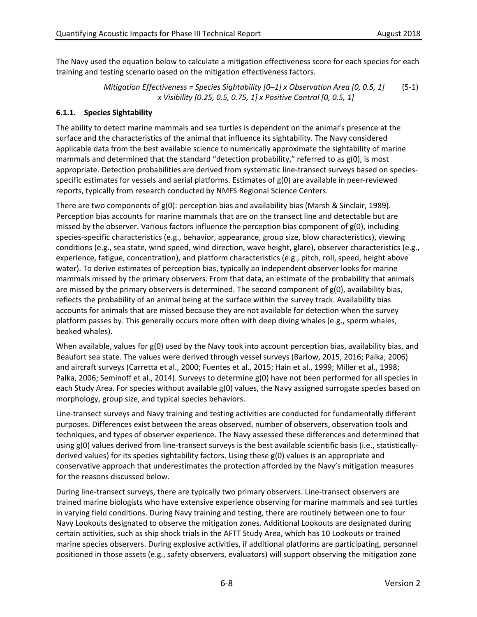The Navy used the equation below to calculate a mitigation effectiveness score for each species for each training and testing scenario based on the mitigation effectiveness factors.

> *Mitigation Effectiveness = Species Sightability [0–1] x Observation Area [0, 0.5, 1]* (5-1) *x Visibility [0.25, 0.5, 0.75, 1] x Positive Control [0, 0.5, 1]*

#### <span id="page-35-0"></span>**6.1.1. Species Sightability**

The ability to detect marine mammals and sea turtles is dependent on the animal's presence at the surface and the characteristics of the animal that influence its sightability. The Navy considered applicable data from the best available science to numerically approximate the sightability of marine mammals and determined that the standard "detection probability," referred to as g(0), is most appropriate. Detection probabilities are derived from systematic line-transect surveys based on speciesspecific estimates for vessels and aerial platforms. Estimates of g(0) are available in peer-reviewed reports, typically from research conducted by NMFS Regional Science Centers.

There are two components of g(0): perception bias and availability bias (Marsh & Sinclair, 1989). Perception bias accounts for marine mammals that are on the transect line and detectable but are missed by the observer. Various factors influence the perception bias component of g(0), including species-specific characteristics (e.g., behavior, appearance, group size, blow characteristics), viewing conditions (e.g., sea state, wind speed, wind direction, wave height, glare), observer characteristics (e.g., experience, fatigue, concentration), and platform characteristics (e.g., pitch, roll, speed, height above water). To derive estimates of perception bias, typically an independent observer looks for marine mammals missed by the primary observers. From that data, an estimate of the probability that animals are missed by the primary observers is determined. The second component of  $g(0)$ , availability bias, reflects the probability of an animal being at the surface within the survey track. Availability bias accounts for animals that are missed because they are not available for detection when the survey platform passes by. This generally occurs more often with deep diving whales (e.g., sperm whales, beaked whales).

When available, values for g(0) used by the Navy took into account perception bias, availability bias, and Beaufort sea state. The values were derived through vessel surveys (Barlow, 2015, 2016; Palka, 2006) and aircraft surveys (Carretta et al., 2000; Fuentes et al., 2015; Hain et al., 1999; Miller et al., 1998; Palka, 2006; Seminoff et al., 2014). Surveys to determine g(0) have not been performed for all species in each Study Area. For species without available g(0) values, the Navy assigned surrogate species based on morphology, group size, and typical species behaviors.

Line-transect surveys and Navy training and testing activities are conducted for fundamentally different purposes. Differences exist between the areas observed, number of observers, observation tools and techniques, and types of observer experience. The Navy assessed these differences and determined that using g(0) values derived from line-transect surveys is the best available scientific basis (i.e., statisticallyderived values) for its species sightability factors. Using these g(0) values is an appropriate and conservative approach that underestimates the protection afforded by the Navy's mitigation measures for the reasons discussed below.

During line-transect surveys, there are typically two primary observers. Line-transect observers are trained marine biologists who have extensive experience observing for marine mammals and sea turtles in varying field conditions. During Navy training and testing, there are routinely between one to four Navy Lookouts designated to observe the mitigation zones. Additional Lookouts are designated during certain activities, such as ship shock trials in the AFTT Study Area, which has 10 Lookouts or trained marine species observers. During explosive activities, if additional platforms are participating, personnel positioned in those assets (e.g., safety observers, evaluators) will support observing the mitigation zone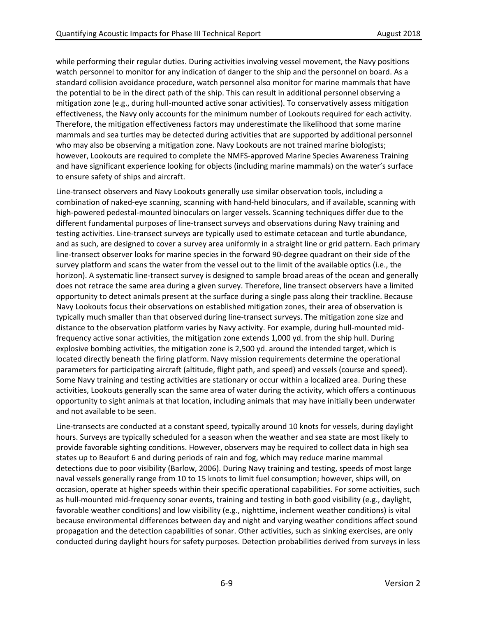while performing their regular duties. During activities involving vessel movement, the Navy positions watch personnel to monitor for any indication of danger to the ship and the personnel on board. As a standard collision avoidance procedure, watch personnel also monitor for marine mammals that have the potential to be in the direct path of the ship. This can result in additional personnel observing a mitigation zone (e.g., during hull-mounted active sonar activities). To conservatively assess mitigation effectiveness, the Navy only accounts for the minimum number of Lookouts required for each activity. Therefore, the mitigation effectiveness factors may underestimate the likelihood that some marine mammals and sea turtles may be detected during activities that are supported by additional personnel who may also be observing a mitigation zone. Navy Lookouts are not trained marine biologists; however, Lookouts are required to complete the NMFS-approved Marine Species Awareness Training and have significant experience looking for objects (including marine mammals) on the water's surface to ensure safety of ships and aircraft.

Line-transect observers and Navy Lookouts generally use similar observation tools, including a combination of naked-eye scanning, scanning with hand-held binoculars, and if available, scanning with high-powered pedestal-mounted binoculars on larger vessels. Scanning techniques differ due to the different fundamental purposes of line-transect surveys and observations during Navy training and testing activities. Line-transect surveys are typically used to estimate cetacean and turtle abundance, and as such, are designed to cover a survey area uniformly in a straight line or grid pattern. Each primary line-transect observer looks for marine species in the forward 90-degree quadrant on their side of the survey platform and scans the water from the vessel out to the limit of the available optics (i.e., the horizon). A systematic line-transect survey is designed to sample broad areas of the ocean and generally does not retrace the same area during a given survey. Therefore, line transect observers have a limited opportunity to detect animals present at the surface during a single pass along their trackline. Because Navy Lookouts focus their observations on established mitigation zones, their area of observation is typically much smaller than that observed during line-transect surveys. The mitigation zone size and distance to the observation platform varies by Navy activity. For example, during hull-mounted midfrequency active sonar activities, the mitigation zone extends 1,000 yd. from the ship hull. During explosive bombing activities, the mitigation zone is 2,500 yd. around the intended target, which is located directly beneath the firing platform. Navy mission requirements determine the operational parameters for participating aircraft (altitude, flight path, and speed) and vessels (course and speed). Some Navy training and testing activities are stationary or occur within a localized area. During these activities, Lookouts generally scan the same area of water during the activity, which offers a continuous opportunity to sight animals at that location, including animals that may have initially been underwater and not available to be seen.

Line-transects are conducted at a constant speed, typically around 10 knots for vessels, during daylight hours. Surveys are typically scheduled for a season when the weather and sea state are most likely to provide favorable sighting conditions. However, observers may be required to collect data in high sea states up to Beaufort 6 and during periods of rain and fog, which may reduce marine mammal detections due to poor visibility (Barlow, 2006). During Navy training and testing, speeds of most large naval vessels generally range from 10 to 15 knots to limit fuel consumption; however, ships will, on occasion, operate at higher speeds within their specific operational capabilities. For some activities, such as hull-mounted mid-frequency sonar events, training and testing in both good visibility (e.g., daylight, favorable weather conditions) and low visibility (e.g., nighttime, inclement weather conditions) is vital because environmental differences between day and night and varying weather conditions affect sound propagation and the detection capabilities of sonar. Other activities, such as sinking exercises, are only conducted during daylight hours for safety purposes. Detection probabilities derived from surveys in less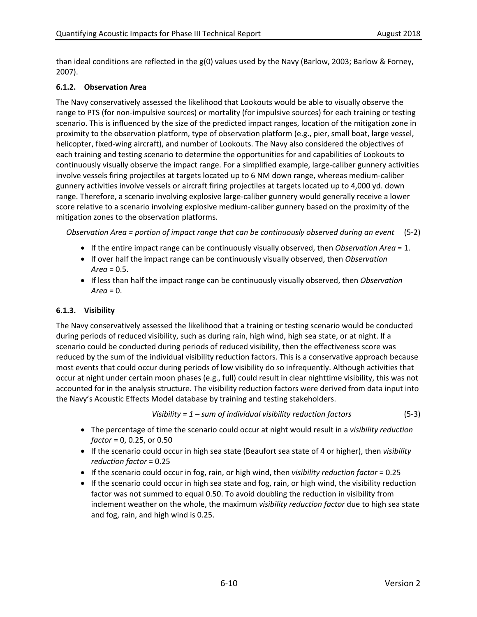than ideal conditions are reflected in the g(0) values used by the Navy (Barlow, 2003; Barlow & Forney, 2007).

#### <span id="page-37-0"></span>**6.1.2. Observation Area**

The Navy conservatively assessed the likelihood that Lookouts would be able to visually observe the range to PTS (for non-impulsive sources) or mortality (for impulsive sources) for each training or testing scenario. This is influenced by the size of the predicted impact ranges, location of the mitigation zone in proximity to the observation platform, type of observation platform (e.g., pier, small boat, large vessel, helicopter, fixed-wing aircraft), and number of Lookouts. The Navy also considered the objectives of each training and testing scenario to determine the opportunities for and capabilities of Lookouts to continuously visually observe the impact range. For a simplified example, large-caliber gunnery activities involve vessels firing projectiles at targets located up to 6 NM down range, whereas medium-caliber gunnery activities involve vessels or aircraft firing projectiles at targets located up to 4,000 yd. down range. Therefore, a scenario involving explosive large-caliber gunnery would generally receive a lower score relative to a scenario involving explosive medium-caliber gunnery based on the proximity of the mitigation zones to the observation platforms.

*Observation Area = portion of impact range that can be continuously observed during an event* (5-2)

- If the entire impact range can be continuously visually observed, then *Observation Area* = 1.
- If over half the impact range can be continuously visually observed, then *Observation Area* = 0.5.
- If less than half the impact range can be continuously visually observed, then *Observation Area* = 0.

#### <span id="page-37-1"></span>**6.1.3. Visibility**

The Navy conservatively assessed the likelihood that a training or testing scenario would be conducted during periods of reduced visibility, such as during rain, high wind, high sea state, or at night. If a scenario could be conducted during periods of reduced visibility, then the effectiveness score was reduced by the sum of the individual visibility reduction factors. This is a conservative approach because most events that could occur during periods of low visibility do so infrequently. Although activities that occur at night under certain moon phases (e.g., full) could result in clear nighttime visibility, this was not accounted for in the analysis structure. The visibility reduction factors were derived from data input into the Navy's Acoustic Effects Model database by training and testing stakeholders.

*Visibility = 1 – sum of individual visibility reduction factors* (5-3)

- The percentage of time the scenario could occur at night would result in a *visibility reduction factor* = 0, 0.25, or 0.50
- If the scenario could occur in high sea state (Beaufort sea state of 4 or higher), then *visibility reduction factor* = 0.25
- If the scenario could occur in fog, rain, or high wind, then *visibility reduction factor* = 0.25
- If the scenario could occur in high sea state and fog, rain, or high wind, the visibility reduction factor was not summed to equal 0.50. To avoid doubling the reduction in visibility from inclement weather on the whole, the maximum *visibility reduction factor* due to high sea state and fog, rain, and high wind is 0.25.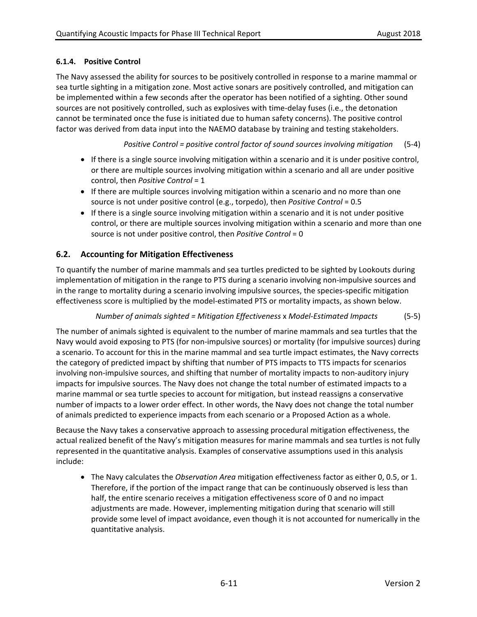#### <span id="page-38-0"></span>**6.1.4. Positive Control**

The Navy assessed the ability for sources to be positively controlled in response to a marine mammal or sea turtle sighting in a mitigation zone. Most active sonars are positively controlled, and mitigation can be implemented within a few seconds after the operator has been notified of a sighting. Other sound sources are not positively controlled, such as explosives with time-delay fuses (i.e., the detonation cannot be terminated once the fuse is initiated due to human safety concerns). The positive control factor was derived from data input into the NAEMO database by training and testing stakeholders.

*Positive Control = positive control factor of sound sources involving mitigation* (5-4)

- If there is a single source involving mitigation within a scenario and it is under positive control, or there are multiple sources involving mitigation within a scenario and all are under positive control, then *Positive Control* = 1
- If there are multiple sources involving mitigation within a scenario and no more than one source is not under positive control (e.g., torpedo), then *Positive Control* = 0.5
- If there is a single source involving mitigation within a scenario and it is not under positive control, or there are multiple sources involving mitigation within a scenario and more than one source is not under positive control, then *Positive Control* = 0

#### <span id="page-38-1"></span>**6.2. Accounting for Mitigation Effectiveness**

To quantify the number of marine mammals and sea turtles predicted to be sighted by Lookouts during implementation of mitigation in the range to PTS during a scenario involving non-impulsive sources and in the range to mortality during a scenario involving impulsive sources, the species-specific mitigation effectiveness score is multiplied by the model-estimated PTS or mortality impacts, as shown below.

#### *Number of animals sighted = Mitigation Effectiveness* x *Model-Estimated Impacts* (5-5)

The number of animals sighted is equivalent to the number of marine mammals and sea turtles that the Navy would avoid exposing to PTS (for non-impulsive sources) or mortality (for impulsive sources) during a scenario. To account for this in the marine mammal and sea turtle impact estimates, the Navy corrects the category of predicted impact by shifting that number of PTS impacts to TTS impacts for scenarios involving non-impulsive sources, and shifting that number of mortality impacts to non-auditory injury impacts for impulsive sources. The Navy does not change the total number of estimated impacts to a marine mammal or sea turtle species to account for mitigation, but instead reassigns a conservative number of impacts to a lower order effect. In other words, the Navy does not change the total number of animals predicted to experience impacts from each scenario or a Proposed Action as a whole.

Because the Navy takes a conservative approach to assessing procedural mitigation effectiveness, the actual realized benefit of the Navy's mitigation measures for marine mammals and sea turtles is not fully represented in the quantitative analysis. Examples of conservative assumptions used in this analysis include:

• The Navy calculates the *Observation Area* mitigation effectiveness factor as either 0, 0.5, or 1. Therefore, if the portion of the impact range that can be continuously observed is less than half, the entire scenario receives a mitigation effectiveness score of 0 and no impact adjustments are made. However, implementing mitigation during that scenario will still provide some level of impact avoidance, even though it is not accounted for numerically in the quantitative analysis.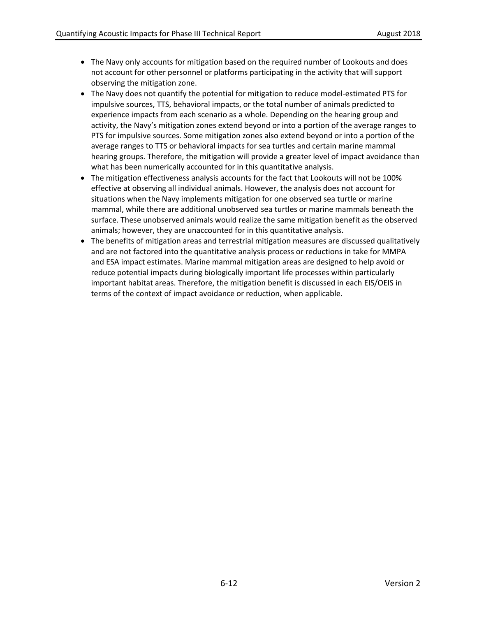- The Navy only accounts for mitigation based on the required number of Lookouts and does not account for other personnel or platforms participating in the activity that will support observing the mitigation zone.
- The Navy does not quantify the potential for mitigation to reduce model-estimated PTS for impulsive sources, TTS, behavioral impacts, or the total number of animals predicted to experience impacts from each scenario as a whole. Depending on the hearing group and activity, the Navy's mitigation zones extend beyond or into a portion of the average ranges to PTS for impulsive sources. Some mitigation zones also extend beyond or into a portion of the average ranges to TTS or behavioral impacts for sea turtles and certain marine mammal hearing groups. Therefore, the mitigation will provide a greater level of impact avoidance than what has been numerically accounted for in this quantitative analysis.
- The mitigation effectiveness analysis accounts for the fact that Lookouts will not be 100% effective at observing all individual animals. However, the analysis does not account for situations when the Navy implements mitigation for one observed sea turtle or marine mammal, while there are additional unobserved sea turtles or marine mammals beneath the surface. These unobserved animals would realize the same mitigation benefit as the observed animals; however, they are unaccounted for in this quantitative analysis.
- The benefits of mitigation areas and terrestrial mitigation measures are discussed qualitatively and are not factored into the quantitative analysis process or reductions in take for MMPA and ESA impact estimates. Marine mammal mitigation areas are designed to help avoid or reduce potential impacts during biologically important life processes within particularly important habitat areas. Therefore, the mitigation benefit is discussed in each EIS/OEIS in terms of the context of impact avoidance or reduction, when applicable.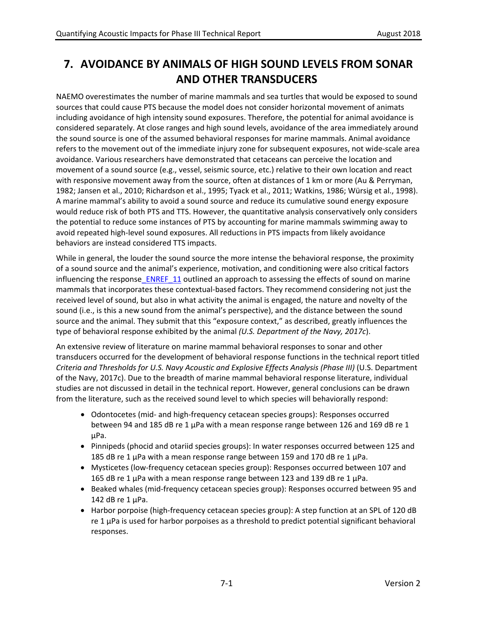### <span id="page-40-0"></span>**7. AVOIDANCE BY ANIMALS OF HIGH SOUND LEVELS FROM SONAR AND OTHER TRANSDUCERS**

NAEMO overestimates the number of marine mammals and sea turtles that would be exposed to sound sources that could cause PTS because the model does not consider horizontal movement of animats including avoidance of high intensity sound exposures. Therefore, the potential for animal avoidance is considered separately. At close ranges and high sound levels, avoidance of the area immediately around the sound source is one of the assumed behavioral responses for marine mammals. Animal avoidance refers to the movement out of the immediate injury zone for subsequent exposures, not wide-scale area avoidance. Various researchers have demonstrated that cetaceans can perceive the location and movement of a sound source (e.g., vessel, seismic source, etc.) relative to their own location and react with responsive movement away from the source, often at distances of 1 km or more (Au & Perryman, 1982; Jansen et al., 2010; Richardson et al., 1995; Tyack et al., 2011; Watkins, 1986; Würsig et al., 1998). A marine mammal's ability to avoid a sound source and reduce its cumulative sound energy exposure would reduce risk of both PTS and TTS. However, the quantitative analysis conservatively only considers the potential to reduce some instances of PTS by accounting for marine mammals swimming away to avoid repeated high-level sound exposures. All reductions in PTS impacts from likely avoidance behaviors are instead considered TTS impacts.

While in general, the louder the sound source the more intense the behavioral response, the proximity of a sound source and the animal's experience, motivation, and conditioning were also critical factors influencing the response ENREF 11 outlined an approach to assessing the effects of sound on marine mammals that incorporates these contextual-based factors. They recommend considering not just the received level of sound, but also in what activity the animal is engaged, the nature and novelty of the sound (i.e., is this a new sound from the animal's perspective), and the distance between the sound source and the animal. They submit that this "exposure context," as described, greatly influences the type of behavioral response exhibited by the animal *(U.S. Department of the Navy, 2017c*).

An extensive review of literature on marine mammal behavioral responses to sonar and other transducers occurred for the development of behavioral response functions in the technical report titled *Criteria and Thresholds for U.S. Navy Acoustic and Explosive Effects Analysis (Phase III)* (U.S. Department of the Navy, 2017c). Due to the breadth of marine mammal behavioral response literature, individual studies are not discussed in detail in the technical report. However, general conclusions can be drawn from the literature, such as the received sound level to which species will behaviorally respond:

- Odontocetes (mid- and high-frequency cetacean species groups): Responses occurred between 94 and 185 dB re 1 µPa with a mean response range between 126 and 169 dB re 1 µPa.
- Pinnipeds (phocid and otariid species groups): In water responses occurred between 125 and 185 dB re 1  $\mu$ Pa with a mean response range between 159 and 170 dB re 1  $\mu$ Pa.
- Mysticetes (low-frequency cetacean species group): Responses occurred between 107 and 165 dB re 1 µPa with a mean response range between 123 and 139 dB re 1 µPa.
- Beaked whales (mid-frequency cetacean species group): Responses occurred between 95 and 142 dB re  $1 \mu$ Pa.
- Harbor porpoise (high-frequency cetacean species group): A step function at an SPL of 120 dB  $r \in 1$   $\mu$ Pa is used for harbor porpoises as a threshold to predict potential significant behavioral responses.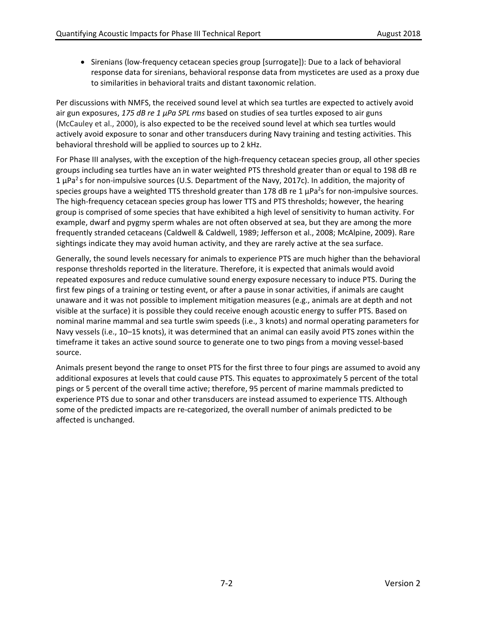• Sirenians (low-frequency cetacean species group [surrogate]): Due to a lack of behavioral response data for sirenians, behavioral response data from mysticetes are used as a proxy due to similarities in behavioral traits and distant taxonomic relation.

Per discussions with NMFS, the received sound level at which sea turtles are expected to actively avoid air gun exposures, *175 dB re 1 µPa SPL rms* based on studies of sea turtles exposed to air guns (McCauley et al., 2000), is also expected to be the received sound level at which sea turtles would actively avoid exposure to sonar and other transducers during Navy training and testing activities. This behavioral threshold will be applied to sources up to 2 kHz.

For Phase III analyses, with the exception of the high-frequency cetacean species group, all other species groups including sea turtles have an in water weighted PTS threshold greater than or equal to 198 dB re 1  $\mu$ Pa<sup>2</sup> s for non-impulsive sources (U.S. Department of the Navy, 2017c). In addition, the majority of species groups have a weighted TTS threshold greater than 178 dB re 1  $\mu$ Pa<sup>2</sup>s for non-impulsive sources. The high-frequency cetacean species group has lower TTS and PTS thresholds; however, the hearing group is comprised of some species that have exhibited a high level of sensitivity to human activity. For example, dwarf and pygmy sperm whales are not often observed at sea, but they are among the more frequently stranded cetaceans (Caldwell & Caldwell, 1989; Jefferson et al., 2008; McAlpine, 2009). Rare sightings indicate they may avoid human activity, and they are rarely active at the sea surface.

Generally, the sound levels necessary for animals to experience PTS are much higher than the behavioral response thresholds reported in the literature. Therefore, it is expected that animals would avoid repeated exposures and reduce cumulative sound energy exposure necessary to induce PTS. During the first few pings of a training or testing event, or after a pause in sonar activities, if animals are caught unaware and it was not possible to implement mitigation measures (e.g., animals are at depth and not visible at the surface) it is possible they could receive enough acoustic energy to suffer PTS. Based on nominal marine mammal and sea turtle swim speeds (i.e., 3 knots) and normal operating parameters for Navy vessels (i.e., 10–15 knots), it was determined that an animal can easily avoid PTS zones within the timeframe it takes an active sound source to generate one to two pings from a moving vessel-based source.

Animals present beyond the range to onset PTS for the first three to four pings are assumed to avoid any additional exposures at levels that could cause PTS. This equates to approximately 5 percent of the total pings or 5 percent of the overall time active; therefore, 95 percent of marine mammals predicted to experience PTS due to sonar and other transducers are instead assumed to experience TTS. Although some of the predicted impacts are re-categorized, the overall number of animals predicted to be affected is unchanged.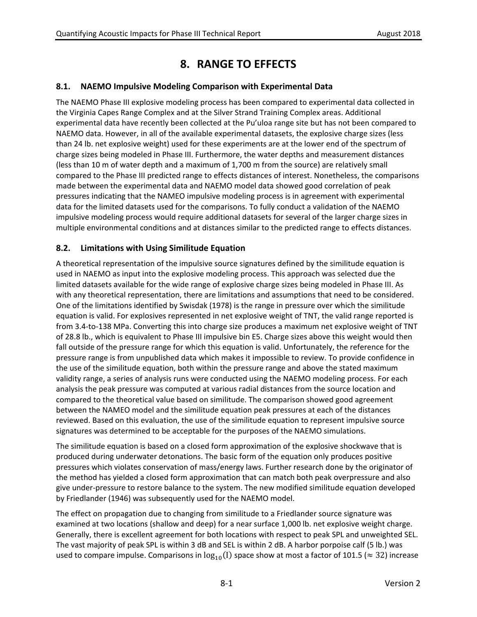### **8. RANGE TO EFFECTS**

#### <span id="page-42-1"></span><span id="page-42-0"></span>**8.1. NAEMO Impulsive Modeling Comparison with Experimental Data**

The NAEMO Phase III explosive modeling process has been compared to experimental data collected in the Virginia Capes Range Complex and at the Silver Strand Training Complex areas. Additional experimental data have recently been collected at the Pu'uloa range site but has not been compared to NAEMO data. However, in all of the available experimental datasets, the explosive charge sizes (less than 24 lb. net explosive weight) used for these experiments are at the lower end of the spectrum of charge sizes being modeled in Phase III. Furthermore, the water depths and measurement distances (less than 10 m of water depth and a maximum of 1,700 m from the source) are relatively small compared to the Phase III predicted range to effects distances of interest. Nonetheless, the comparisons made between the experimental data and NAEMO model data showed good correlation of peak pressures indicating that the NAMEO impulsive modeling process is in agreement with experimental data for the limited datasets used for the comparisons. To fully conduct a validation of the NAEMO impulsive modeling process would require additional datasets for several of the larger charge sizes in multiple environmental conditions and at distances similar to the predicted range to effects distances.

#### <span id="page-42-2"></span>**8.2. Limitations with Using Similitude Equation**

A theoretical representation of the impulsive source signatures defined by the similitude equation is used in NAEMO as input into the explosive modeling process. This approach was selected due the limited datasets available for the wide range of explosive charge sizes being modeled in Phase III. As with any theoretical representation, there are limitations and assumptions that need to be considered. One of the limitations identified by Swisdak (1978) is the range in pressure over which the similitude equation is valid. For explosives represented in net explosive weight of TNT, the valid range reported is from 3.4-to-138 MPa. Converting this into charge size produces a maximum net explosive weight of TNT of 28.8 lb., which is equivalent to Phase III impulsive bin E5. Charge sizes above this weight would then fall outside of the pressure range for which this equation is valid. Unfortunately, the reference for the pressure range is from unpublished data which makes it impossible to review. To provide confidence in the use of the similitude equation, both within the pressure range and above the stated maximum validity range, a series of analysis runs were conducted using the NAEMO modeling process. For each analysis the peak pressure was computed at various radial distances from the source location and compared to the theoretical value based on similitude. The comparison showed good agreement between the NAMEO model and the similitude equation peak pressures at each of the distances reviewed. Based on this evaluation, the use of the similitude equation to represent impulsive source signatures was determined to be acceptable for the purposes of the NAEMO simulations.

The similitude equation is based on a closed form approximation of the explosive shockwave that is produced during underwater detonations. The basic form of the equation only produces positive pressures which violates conservation of mass/energy laws. Further research done by the originator of the method has yielded a closed form approximation that can match both peak overpressure and also give under-pressure to restore balance to the system. The new modified similitude equation developed by Friedlander (1946) was subsequently used for the NAEMO model.

The effect on propagation due to changing from similitude to a Friedlander source signature was examined at two locations (shallow and deep) for a near surface 1,000 lb. net explosive weight charge. Generally, there is excellent agreement for both locations with respect to peak SPL and unweighted SEL. The vast majority of peak SPL is within 3 dB and SEL is within 2 dB. A harbor porpoise calf (5 lb.) was used to compare impulse. Comparisons in  $log_{10}(I)$  space show at most a factor of 101.5 ( $\approx$  32) increase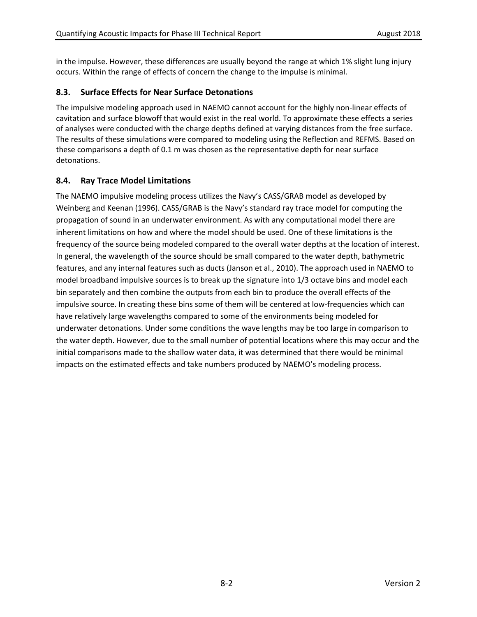in the impulse. However, these differences are usually beyond the range at which 1% slight lung injury occurs. Within the range of effects of concern the change to the impulse is minimal.

#### <span id="page-43-0"></span>**8.3. Surface Effects for Near Surface Detonations**

The impulsive modeling approach used in NAEMO cannot account for the highly non-linear effects of cavitation and surface blowoff that would exist in the real world. To approximate these effects a series of analyses were conducted with the charge depths defined at varying distances from the free surface. The results of these simulations were compared to modeling using the Reflection and REFMS. Based on these comparisons a depth of 0.1 m was chosen as the representative depth for near surface detonations.

#### <span id="page-43-1"></span>**8.4. Ray Trace Model Limitations**

The NAEMO impulsive modeling process utilizes the Navy's CASS/GRAB model as developed by Weinberg and Keenan (1996). CASS/GRAB is the Navy's standard ray trace model for computing the propagation of sound in an underwater environment. As with any computational model there are inherent limitations on how and where the model should be used. One of these limitations is the frequency of the source being modeled compared to the overall water depths at the location of interest. In general, the wavelength of the source should be small compared to the water depth, bathymetric features, and any internal features such as ducts (Janson et al., 2010). The approach used in NAEMO to model broadband impulsive sources is to break up the signature into 1/3 octave bins and model each bin separately and then combine the outputs from each bin to produce the overall effects of the impulsive source. In creating these bins some of them will be centered at low-frequencies which can have relatively large wavelengths compared to some of the environments being modeled for underwater detonations. Under some conditions the wave lengths may be too large in comparison to the water depth. However, due to the small number of potential locations where this may occur and the initial comparisons made to the shallow water data, it was determined that there would be minimal impacts on the estimated effects and take numbers produced by NAEMO's modeling process.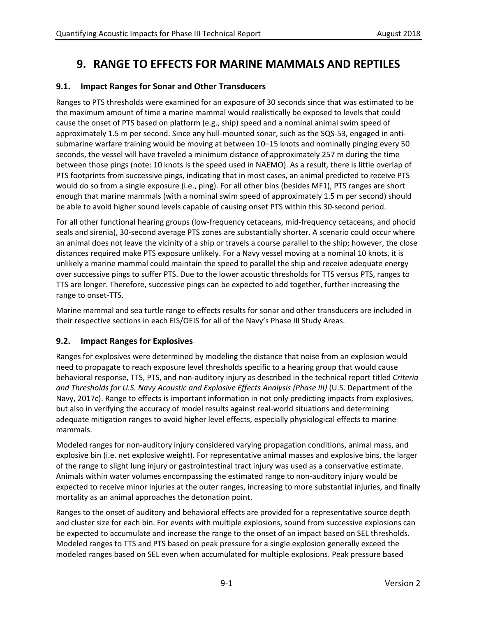### <span id="page-44-0"></span>**9. RANGE TO EFFECTS FOR MARINE MAMMALS AND REPTILES**

#### <span id="page-44-1"></span>**9.1. Impact Ranges for Sonar and Other Transducers**

Ranges to PTS thresholds were examined for an exposure of 30 seconds since that was estimated to be the maximum amount of time a marine mammal would realistically be exposed to levels that could cause the onset of PTS based on platform (e.g., ship) speed and a nominal animal swim speed of approximately 1.5 m per second. Since any hull-mounted sonar, such as the SQS-53, engaged in antisubmarine warfare training would be moving at between 10–15 knots and nominally pinging every 50 seconds, the vessel will have traveled a minimum distance of approximately 257 m during the time between those pings (note: 10 knots is the speed used in NAEMO). As a result, there is little overlap of PTS footprints from successive pings, indicating that in most cases, an animal predicted to receive PTS would do so from a single exposure (i.e., ping). For all other bins (besides MF1), PTS ranges are short enough that marine mammals (with a nominal swim speed of approximately 1.5 m per second) should be able to avoid higher sound levels capable of causing onset PTS within this 30-second period.

For all other functional hearing groups (low-frequency cetaceans, mid-frequency cetaceans, and phocid seals and sirenia), 30-second average PTS zones are substantially shorter. A scenario could occur where an animal does not leave the vicinity of a ship or travels a course parallel to the ship; however, the close distances required make PTS exposure unlikely. For a Navy vessel moving at a nominal 10 knots, it is unlikely a marine mammal could maintain the speed to parallel the ship and receive adequate energy over successive pings to suffer PTS. Due to the lower acoustic thresholds for TTS versus PTS, ranges to TTS are longer. Therefore, successive pings can be expected to add together, further increasing the range to onset-TTS.

Marine mammal and sea turtle range to effects results for sonar and other transducers are included in their respective sections in each EIS/OEIS for all of the Navy's Phase III Study Areas.

#### <span id="page-44-2"></span>**9.2. Impact Ranges for Explosives**

Ranges for explosives were determined by modeling the distance that noise from an explosion would need to propagate to reach exposure level thresholds specific to a hearing group that would cause behavioral response, TTS, PTS, and non-auditory injury as described in the technical report titled *Criteria and Thresholds for U.S. Navy Acoustic and Explosive Effects Analysis (Phase III)* (U.S. Department of the Navy, 2017c). Range to effects is important information in not only predicting impacts from explosives, but also in verifying the accuracy of model results against real-world situations and determining adequate mitigation ranges to avoid higher level effects, especially physiological effects to marine mammals.

Modeled ranges for non-auditory injury considered varying propagation conditions, animal mass, and explosive bin (i.e. net explosive weight). For representative animal masses and explosive bins, the larger of the range to slight lung injury or gastrointestinal tract injury was used as a conservative estimate. Animals within water volumes encompassing the estimated range to non-auditory injury would be expected to receive minor injuries at the outer ranges, increasing to more substantial injuries, and finally mortality as an animal approaches the detonation point.

Ranges to the onset of auditory and behavioral effects are provided for a representative source depth and cluster size for each bin. For events with multiple explosions, sound from successive explosions can be expected to accumulate and increase the range to the onset of an impact based on SEL thresholds. Modeled ranges to TTS and PTS based on peak pressure for a single explosion generally exceed the modeled ranges based on SEL even when accumulated for multiple explosions. Peak pressure based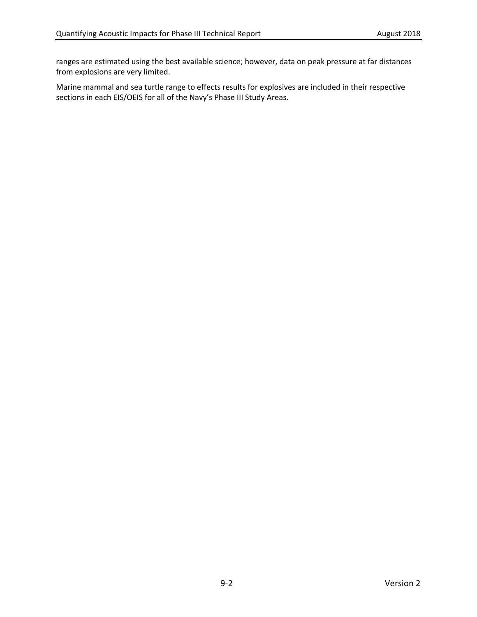ranges are estimated using the best available science; however, data on peak pressure at far distances from explosions are very limited.

Marine mammal and sea turtle range to effects results for explosives are included in their respective sections in each EIS/OEIS for all of the Navy's Phase III Study Areas.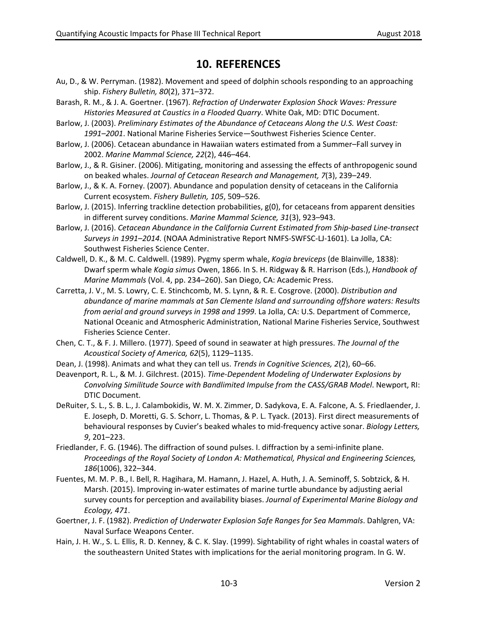### <span id="page-46-0"></span>**10. REFERENCES**

- Au, D., & W. Perryman. (1982). Movement and speed of dolphin schools responding to an approaching ship. *Fishery Bulletin, 80*(2), 371–372.
- Barash, R. M., & J. A. Goertner. (1967). *Refraction of Underwater Explosion Shock Waves: Pressure Histories Measured at Caustics in a Flooded Quarry*. White Oak, MD: DTIC Document.
- Barlow, J. (2003). *Preliminary Estimates of the Abundance of Cetaceans Along the U.S. West Coast: 1991–2001*. National Marine Fisheries Service—Southwest Fisheries Science Center.
- Barlow, J. (2006). Cetacean abundance in Hawaiian waters estimated from a Summer–Fall survey in 2002. *Marine Mammal Science, 22*(2), 446–464.
- Barlow, J., & R. Gisiner. (2006). Mitigating, monitoring and assessing the effects of anthropogenic sound on beaked whales. *Journal of Cetacean Research and Management, 7*(3), 239–249.
- Barlow, J., & K. A. Forney. (2007). Abundance and population density of cetaceans in the California Current ecosystem. *Fishery Bulletin, 105*, 509–526.
- Barlow, J. (2015). Inferring trackline detection probabilities, g(0), for cetaceans from apparent densities in different survey conditions. *Marine Mammal Science, 31*(3), 923–943.
- Barlow, J. (2016). *Cetacean Abundance in the California Current Estimated from Ship-based Line-transect Surveys in 1991–2014.* (NOAA Administrative Report NMFS-SWFSC-LJ-1601). La Jolla, CA: Southwest Fisheries Science Center.
- Caldwell, D. K., & M. C. Caldwell. (1989). Pygmy sperm whale, *Kogia breviceps* (de Blainville, 1838): Dwarf sperm whale *Kogia simus* Owen, 1866. In S. H. Ridgway & R. Harrison (Eds.), *Handbook of Marine Mammals* (Vol. 4, pp. 234–260). San Diego, CA: Academic Press.
- Carretta, J. V., M. S. Lowry, C. E. Stinchcomb, M. S. Lynn, & R. E. Cosgrove. (2000). *Distribution and abundance of marine mammals at San Clemente Island and surrounding offshore waters: Results from aerial and ground surveys in 1998 and 1999*. La Jolla, CA: U.S. Department of Commerce, National Oceanic and Atmospheric Administration, National Marine Fisheries Service, Southwest Fisheries Science Center.
- Chen, C. T., & F. J. Millero. (1977). Speed of sound in seawater at high pressures. *The Journal of the Acoustical Society of America, 62*(5), 1129–1135.
- Dean, J. (1998). Animats and what they can tell us. *Trends in Cognitive Sciences, 2*(2), 60–66.
- Deavenport, R. L., & M. J. Gilchrest. (2015). *Time-Dependent Modeling of Underwater Explosions by Convolving Similitude Source with Bandlimited Impulse from the CASS/GRAB Model*. Newport, RI: DTIC Document.
- DeRuiter, S. L., S. B. L., J. Calambokidis, W. M. X. Zimmer, D. Sadykova, E. A. Falcone, A. S. Friedlaender, J. E. Joseph, D. Moretti, G. S. Schorr, L. Thomas, & P. L. Tyack. (2013). First direct measurements of behavioural responses by Cuvier's beaked whales to mid-frequency active sonar. *Biology Letters, 9*, 201–223.
- Friedlander, F. G. (1946). The diffraction of sound pulses. I. diffraction by a semi-infinite plane. *Proceedings of the Royal Society of London A: Mathematical, Physical and Engineering Sciences, 186*(1006), 322–344.
- Fuentes, M. M. P. B., I. Bell, R. Hagihara, M. Hamann, J. Hazel, A. Huth, J. A. Seminoff, S. Sobtzick, & H. Marsh. (2015). Improving in-water estimates of marine turtle abundance by adjusting aerial survey counts for perception and availability biases. *Journal of Experimental Marine Biology and Ecology, 471*.
- Goertner, J. F. (1982). *Prediction of Underwater Explosion Safe Ranges for Sea Mammals*. Dahlgren, VA: Naval Surface Weapons Center.
- Hain, J. H. W., S. L. Ellis, R. D. Kenney, & C. K. Slay. (1999). Sightability of right whales in coastal waters of the southeastern United States with implications for the aerial monitoring program. In G. W.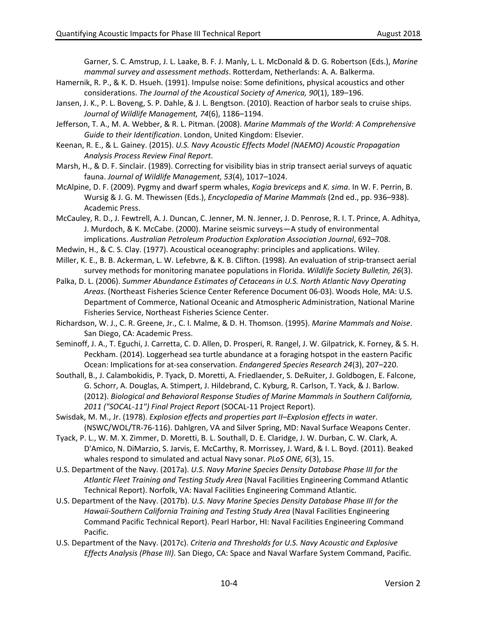Garner, S. C. Amstrup, J. L. Laake, B. F. J. Manly, L. L. McDonald & D. G. Robertson (Eds.), *Marine mammal survey and assessment methods*. Rotterdam, Netherlands: A. A. Balkerma.

- Hamernik, R. P., & K. D. Hsueh. (1991). Impulse noise: Some definitions, physical acoustics and other considerations. *The Journal of the Acoustical Society of America, 90*(1), 189–196.
- Jansen, J. K., P. L. Boveng, S. P. Dahle, & J. L. Bengtson. (2010). Reaction of harbor seals to cruise ships. *Journal of Wildlife Management, 74*(6), 1186–1194.
- Jefferson, T. A., M. A. Webber, & R. L. Pitman. (2008). *Marine Mammals of the World: A Comprehensive Guide to their Identification*. London, United Kingdom: Elsevier.
- Keenan, R. E., & L. Gainey. (2015). *U.S. Navy Acoustic Effects Model (NAEMO) Acoustic Propagation Analysis Process Review Final Report*.

Marsh, H., & D. F. Sinclair. (1989). Correcting for visibility bias in strip transect aerial surveys of aquatic fauna. *Journal of Wildlife Management, 53*(4), 1017–1024.

McAlpine, D. F. (2009). Pygmy and dwarf sperm whales, *Kogia breviceps* and *K. sima*. In W. F. Perrin, B. Wursig & J. G. M. Thewissen (Eds.), *Encyclopedia of Marine Mammals* (2nd ed., pp. 936–938). Academic Press.

McCauley, R. D., J. Fewtrell, A. J. Duncan, C. Jenner, M. N. Jenner, J. D. Penrose, R. I. T. Prince, A. Adhitya, J. Murdoch, & K. McCabe. (2000). Marine seismic surveys—A study of environmental implications. *Australian Petroleum Production Exploration Association Journal*, 692–708.

Medwin, H., & C. S. Clay. (1977). Acoustical oceanography: principles and applications. Wiley.

Miller, K. E., B. B. Ackerman, L. W. Lefebvre, & K. B. Clifton. (1998). An evaluation of strip-transect aerial survey methods for monitoring manatee populations in Florida. *Wildlife Society Bulletin, 26*(3).

Palka, D. L. (2006). *Summer Abundance Estimates of Cetaceans in U.S. North Atlantic Navy Operating Areas*. (Northeast Fisheries Science Center Reference Document 06-03). Woods Hole, MA: U.S. Department of Commerce, National Oceanic and Atmospheric Administration, National Marine Fisheries Service, Northeast Fisheries Science Center.

Richardson, W. J., C. R. Greene, Jr., C. I. Malme, & D. H. Thomson. (1995). *Marine Mammals and Noise*. San Diego, CA: Academic Press.

Seminoff, J. A., T. Eguchi, J. Carretta, C. D. Allen, D. Prosperi, R. Rangel, J. W. Gilpatrick, K. Forney, & S. H. Peckham. (2014). Loggerhead sea turtle abundance at a foraging hotspot in the eastern Pacific Ocean: Implications for at-sea conservation. *Endangered Species Research 24*(3), 207–220.

- Southall, B., J. Calambokidis, P. Tyack, D. Moretti, A. Friedlaender, S. DeRuiter, J. Goldbogen, E. Falcone, G. Schorr, A. Douglas, A. Stimpert, J. Hildebrand, C. Kyburg, R. Carlson, T. Yack, & J. Barlow. (2012). *Biological and Behavioral Response Studies of Marine Mammals in Southern California, 2011 ("SOCAL-11") Final Project Report* (SOCAL-11 Project Report).
- Swisdak, M. M., Jr. (1978). *Explosion effects and properties part II–Explosion effects in water*. (NSWC/WOL/TR-76-116). Dahlgren, VA and Silver Spring, MD: Naval Surface Weapons Center.
- Tyack, P. L., W. M. X. Zimmer, D. Moretti, B. L. Southall, D. E. Claridge, J. W. Durban, C. W. Clark, A. D'Amico, N. DiMarzio, S. Jarvis, E. McCarthy, R. Morrissey, J. Ward, & I. L. Boyd. (2011). Beaked whales respond to simulated and actual Navy sonar. *PLoS ONE, 6*(3), 15.
- U.S. Department of the Navy. (2017a). *U.S. Navy Marine Species Density Database Phase III for the Atlantic Fleet Training and Testing Study Area* (Naval Facilities Engineering Command Atlantic Technical Report). Norfolk, VA: Naval Facilities Engineering Command Atlantic.
- U.S. Department of the Navy. (2017b). *U.S. Navy Marine Species Density Database Phase III for the Hawaii-Southern California Training and Testing Study Area* (Naval Facilities Engineering Command Pacific Technical Report). Pearl Harbor, HI: Naval Facilities Engineering Command Pacific.
- U.S. Department of the Navy. (2017c). *Criteria and Thresholds for U.S. Navy Acoustic and Explosive Effects Analysis (Phase III)*. San Diego, CA: Space and Naval Warfare System Command, Pacific.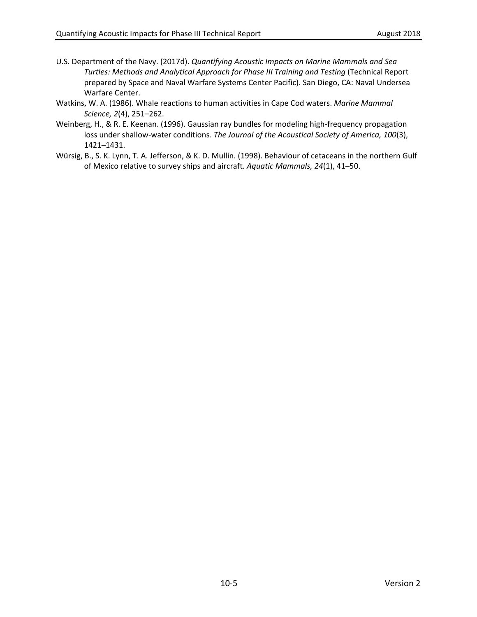- U.S. Department of the Navy. (2017d). *Quantifying Acoustic Impacts on Marine Mammals and Sea Turtles: Methods and Analytical Approach for Phase III Training and Testing* (Technical Report prepared by Space and Naval Warfare Systems Center Pacific). San Diego, CA: Naval Undersea Warfare Center.
- Watkins, W. A. (1986). Whale reactions to human activities in Cape Cod waters. *Marine Mammal Science, 2*(4), 251–262.
- Weinberg, H., & R. E. Keenan. (1996). Gaussian ray bundles for modeling high-frequency propagation loss under shallow-water conditions. *The Journal of the Acoustical Society of America, 100*(3), 1421–1431.
- Würsig, B., S. K. Lynn, T. A. Jefferson, & K. D. Mullin. (1998). Behaviour of cetaceans in the northern Gulf of Mexico relative to survey ships and aircraft. *Aquatic Mammals, 24*(1), 41–50.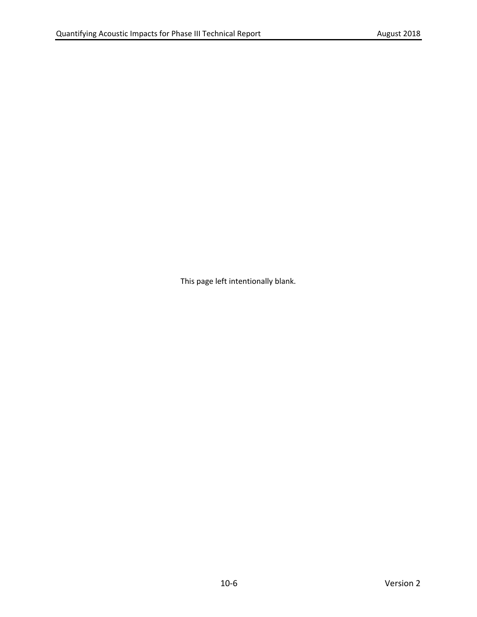This page left intentionally blank.